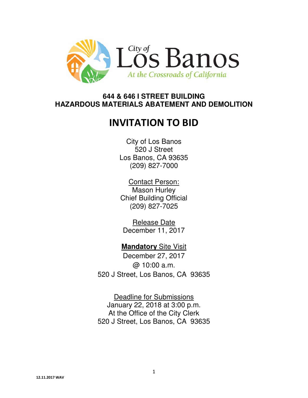

# **644 & 646 I STREET BUILDING HAZARDOUS MATERIALS ABATEMENT AND DEMOLITION**

# INVITATION TO BID

City of Los Banos 520 J Street Los Banos, CA 93635 (209) 827-7000

Contact Person: Mason Hurley Chief Building Official (209) 827-7025

Release Date December 11, 2017

**Mandatory** Site Visit December 27, 2017 @ 10:00 a.m. 520 J Street, Los Banos, CA 93635

Deadline for Submissions January 22, 2018 at 3:00 p.m. At the Office of the City Clerk 520 J Street, Los Banos, CA 93635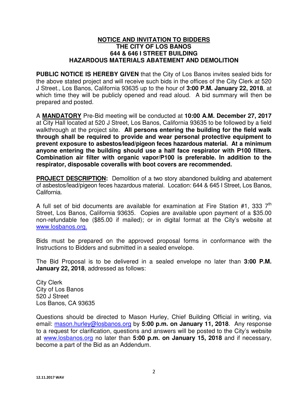#### **NOTICE AND INVITATION TO BIDDERS THE CITY OF LOS BANOS 644 & 646 I STREET BUILDING HAZARDOUS MATERIALS ABATEMENT AND DEMOLITION**

**PUBLIC NOTICE IS HEREBY GIVEN** that the City of Los Banos invites sealed bids for the above stated project and will receive such bids in the offices of the City Clerk at 520 J Street., Los Banos, California 93635 up to the hour of **3:00 P.M. January 22, 2018**, at which time they will be publicly opened and read aloud. A bid summary will then be prepared and posted.

A **MANDATORY** Pre-Bid meeting will be conducted at **10:00 A.M. December 27, 2017**  at City Hall located at 520 J Street, Los Banos, California 93635 to be followed by a field walkthrough at the project site. **All persons entering the building for the field walk through shall be required to provide and wear personal protective equipment to prevent exposure to asbestos/lead/pigeon feces hazardous material. At a minimum anyone entering the building should use a half face respirator with P100 filters. Combination air filter with organic vapor/P100 is preferable. In addition to the respirator, disposable coveralls with boot covers are recommended.** 

**PROJECT DESCRIPTION:** Demolition of a two story abandoned building and abatement of asbestos/lead/pigeon feces hazardous material. Location: 644 & 645 I Street, Los Banos, California.

A full set of bid documents are available for examination at Fire Station #1, 333  $7<sup>th</sup>$ Street, Los Banos, California 93635. Copies are available upon payment of a \$35.00 non-refundable fee (\$85.00 if mailed); or in digital format at the City's website at www.losbanos.org.

Bids must be prepared on the approved proposal forms in conformance with the Instructions to Bidders and submitted in a sealed envelope.

The Bid Proposal is to be delivered in a sealed envelope no later than **3:00 P.M. January 22, 2018**, addressed as follows:

City Clerk City of Los Banos 520 J Street Los Banos, CA 93635

Questions should be directed to Mason Hurley, Chief Building Official in writing, via email: mason.hurley@losbanos.org by **5:00 p.m. on January 11, 2018**. Any response to a request for clarification, questions and answers will be posted to the City's website at www.losbanos.org no later than **5:00 p.m. on January 15, 2018** and if necessary, become a part of the Bid as an Addendum.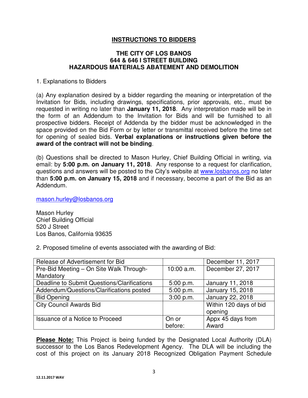## **INSTRUCTIONS TO BIDDERS**

#### **THE CITY OF LOS BANOS 644 & 646 I STREET BUILDING HAZARDOUS MATERIALS ABATEMENT AND DEMOLITION**

1. Explanations to Bidders

(a) Any explanation desired by a bidder regarding the meaning or interpretation of the Invitation for Bids, including drawings, specifications, prior approvals, etc., must be requested in writing no later than **January 11, 2018**. Any interpretation made will be in the form of an Addendum to the Invitation for Bids and will be furnished to all prospective bidders. Receipt of Addenda by the bidder must be acknowledged in the space provided on the Bid Form or by letter or transmittal received before the time set for opening of sealed bids. **Verbal explanations or instructions given before the award of the contract will not be binding**.

(b) Questions shall be directed to Mason Hurley, Chief Building Official in writing, via email: by **5:00 p.m. on January 11, 2018**. Any response to a request for clarification, questions and answers will be posted to the City's website at www.losbanos.org no later than **5:00 p.m. on January 15, 2018** and if necessary, become a part of the Bid as an Addendum.

mason.hurley@losbanos.org

Mason Hurley Chief Building Official 520 J Street Los Banos, California 93635

2. Proposed timeline of events associated with the awarding of Bid:

| Release of Advertisement for Bid            |            | December 11, 2017      |
|---------------------------------------------|------------|------------------------|
| Pre-Bid Meeting - On Site Walk Through-     | 10:00 a.m. | December 27, 2017      |
| Mandatory                                   |            |                        |
| Deadline to Submit Questions/Clarifications | 5:00 p.m.  | January 11, 2018       |
| Addendum/Questions/Clarifications posted    | 5:00 p.m.  | January 15, 2018       |
| <b>Bid Opening</b>                          | 3:00 p.m.  | January 22, 2018       |
| <b>City Council Awards Bid</b>              |            | Within 120 days of bid |
|                                             |            | opening                |
| Issuance of a Notice to Proceed             | On or      | Appx 45 days from      |
|                                             | before:    | Award                  |

**Please Note:** This Project is being funded by the Designated Local Authority (DLA) successor to the Los Banos Redevelopment Agency. The DLA will be including the cost of this project on its January 2018 Recognized Obligation Payment Schedule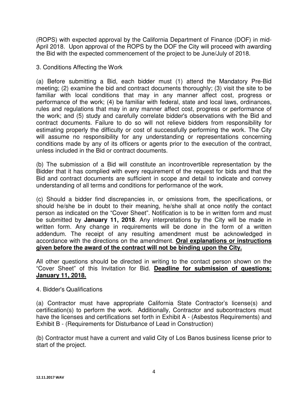(ROPS) with expected approval by the California Department of Finance (DOF) in mid-April 2018. Upon approval of the ROPS by the DOF the City will proceed with awarding the Bid with the expected commencement of the project to be June/July of 2018.

#### 3. Conditions Affecting the Work

(a) Before submitting a Bid, each bidder must (1) attend the Mandatory Pre-Bid meeting; (2) examine the bid and contract documents thoroughly; (3) visit the site to be familiar with local conditions that may in any manner affect cost, progress or performance of the work; (4) be familiar with federal, state and local laws, ordinances, rules and regulations that may in any manner affect cost, progress or performance of the work; and (5) study and carefully correlate bidder's observations with the Bid and contract documents. Failure to do so will not relieve bidders from responsibility for estimating properly the difficulty or cost of successfully performing the work. The City will assume no responsibility for any understanding or representations concerning conditions made by any of its officers or agents prior to the execution of the contract, unless included in the Bid or contract documents.

(b) The submission of a Bid will constitute an incontrovertible representation by the Bidder that it has complied with every requirement of the request for bids and that the Bid and contract documents are sufficient in scope and detail to indicate and convey understanding of all terms and conditions for performance of the work.

(c) Should a bidder find discrepancies in, or omissions from, the specifications, or should he/she be in doubt to their meaning, he/she shall at once notify the contact person as indicated on the "Cover Sheet". Notification is to be in written form and must be submitted by **January 11, 2018**. Any interpretations by the City will be made in written form. Any change in requirements will be done in the form of a written addendum. The receipt of any resulting amendment must be acknowledged in accordance with the directions on the amendment. **Oral explanations or instructions given before the award of the contract will not be binding upon the City.** 

All other questions should be directed in writing to the contact person shown on the "Cover Sheet" of this Invitation for Bid. **Deadline for submission of questions: January 11, 2018.**

#### 4. Bidder's Qualifications

(a) Contractor must have appropriate California State Contractor's license(s) and certification(s) to perform the work. Additionally, Contractor and subcontractors must have the licenses and certifications set forth in Exhibit A - (Asbestos Requirements) and Exhibit B - (Requirements for Disturbance of Lead in Construction)

(b) Contractor must have a current and valid City of Los Banos business license prior to start of the project.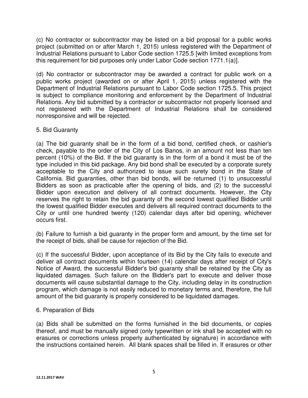(c) No contractor or subcontractor may be listed on a bid proposal for a public works project (submitted on or after March 1, 2015) unless registered with the Department of Industrial Relations pursuant to Labor Code section 1725.5 [with limited exceptions from this requirement for bid purposes only under Labor Code section 1771.1(a)].

(d) No contractor or subcontractor may be awarded a contract for public work on a public works project (awarded on or after April 1, 2015) unless registered with the Department of Industrial Relations pursuant to Labor Code section 1725.5. This project is subject to compliance monitoring and enforcement by the Department of Industrial Relations. Any bid submitted by a contractor or subcontractor not properly licensed and not registered with the Department of Industrial Relations shall be considered nonresponsive and will be rejected.

#### 5. Bid Guaranty

(a) The bid guaranty shall be in the form of a bid bond, certified check, or cashier's check, payable to the order of the City of Los Banos, in an amount not less than ten percent (10%) of the Bid. If the bid guaranty is in the form of a bond it must be of the type included in this bid package. Any bid bond shall be executed by a corporate surety acceptable to the City and authorized to issue such surety bond in the State of California. Bid guaranties, other than bid bonds, will be returned (1) to unsuccessful Bidders as soon as practicable after the opening of bids, and (2) to the successful Bidder upon execution and delivery of all contract documents. However, the City reserves the right to retain the bid guaranty of the second lowest qualified Bidder until the lowest qualified Bidder executes and delivers all required contract documents to the City or until one hundred twenty (120) calendar days after bid opening, whichever occurs first.

(b) Failure to furnish a bid guaranty in the proper form and amount, by the time set for the receipt of bids, shall be cause for rejection of the Bid.

(c) If the successful Bidder, upon acceptance of its Bid by the City fails to execute and deliver all contract documents within fourteen (14) calendar days after receipt of City's Notice of Award, the successful Bidder's bid guaranty shall be retained by the City as liquidated damages. Such failure on the Bidder's part to execute and deliver those documents will cause substantial damage to the City, including delay in its construction program, which damage is not easily reduced to monetary terms and, therefore, the full amount of the bid guaranty is properly considered to be liquidated damages.

#### 6. Preparation of Bids

(a) Bids shall be submitted on the forms furnished in the bid documents, or copies thereof, and must be manually signed (only typewritten or ink shall be accepted with no erasures or corrections unless properly authenticated by signature) in accordance with the instructions contained herein. All blank spaces shall be filled in. If erasures or other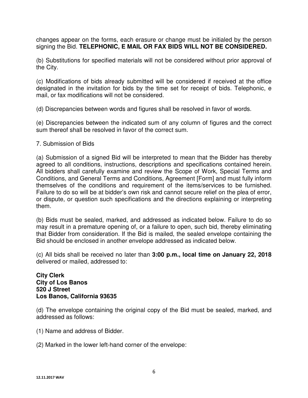changes appear on the forms, each erasure or change must be initialed by the person signing the Bid. **TELEPHONIC, E MAIL OR FAX BIDS WILL NOT BE CONSIDERED.**

(b) Substitutions for specified materials will not be considered without prior approval of the City.

(c) Modifications of bids already submitted will be considered if received at the office designated in the invitation for bids by the time set for receipt of bids. Telephonic, e mail, or fax modifications will not be considered.

(d) Discrepancies between words and figures shall be resolved in favor of words.

(e) Discrepancies between the indicated sum of any column of figures and the correct sum thereof shall be resolved in favor of the correct sum.

#### 7. Submission of Bids

(a) Submission of a signed Bid will be interpreted to mean that the Bidder has thereby agreed to all conditions, instructions, descriptions and specifications contained herein. All bidders shall carefully examine and review the Scope of Work, Special Terms and Conditions, and General Terms and Conditions, Agreement [Form] and must fully inform themselves of the conditions and requirement of the items/services to be furnished. Failure to do so will be at bidder's own risk and cannot secure relief on the plea of error, or dispute, or question such specifications and the directions explaining or interpreting them.

(b) Bids must be sealed, marked, and addressed as indicated below. Failure to do so may result in a premature opening of, or a failure to open, such bid, thereby eliminating that Bidder from consideration. If the Bid is mailed, the sealed envelope containing the Bid should be enclosed in another envelope addressed as indicated below.

(c) All bids shall be received no later than **3:00 p.m., local time on January 22, 2018** delivered or mailed, addressed to:

#### **City Clerk City of Los Banos 520 J Street Los Banos, California 93635**

(d) The envelope containing the original copy of the Bid must be sealed, marked, and addressed as follows:

(1) Name and address of Bidder.

(2) Marked in the lower left-hand corner of the envelope: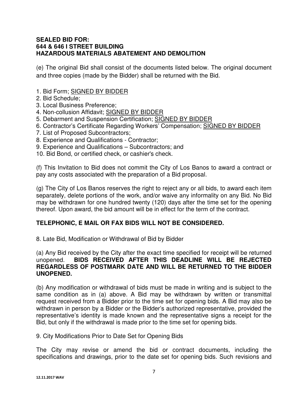#### **SEALED BID FOR: 644 & 646 I STREET BUILDING HAZARDOUS MATERIALS ABATEMENT AND DEMOLITION**

(e) The original Bid shall consist of the documents listed below. The original document and three copies (made by the Bidder) shall be returned with the Bid.

- 1. Bid Form; SIGNED BY BIDDER
- 2. Bid Schedule;
- 3. Local Business Preference;
- 4. Non-collusion Affidavit; SIGNED BY BIDDER
- 5. Debarment and Suspension Certification; SIGNED BY BIDDER
- 6. Contractor's Certificate Regarding Workers' Compensation; SIGNED BY BIDDER
- 7. List of Proposed Subcontractors;
- 8. Experience and Qualifications Contractor;
- 9. Experience and Qualifications Subcontractors; and
- 10. Bid Bond, or certified check, or cashier's check.

(f) This Invitation to Bid does not commit the City of Los Banos to award a contract or pay any costs associated with the preparation of a Bid proposal.

(g) The City of Los Banos reserves the right to reject any or all bids, to award each item separately, delete portions of the work, and/or waive any informality on any Bid. No Bid may be withdrawn for one hundred twenty (120) days after the time set for the opening thereof. Upon award, the bid amount will be in effect for the term of the contract.

## **TELEPHONIC, E MAIL OR FAX BIDS WILL NOT BE CONSIDERED.**

8. Late Bid, Modification or Withdrawal of Bid by Bidder

(a) Any Bid received by the City after the exact time specified for receipt will be returned unopened. **BIDS RECEIVED AFTER THIS DEADLINE WILL BE REJECTED REGARDLESS OF POSTMARK DATE AND WILL BE RETURNED TO THE BIDDER UNOPENED.** 

(b) Any modification or withdrawal of bids must be made in writing and is subject to the same condition as in (a) above. A Bid may be withdrawn by written or transmittal request received from a Bidder prior to the time set for opening bids. A Bid may also be withdrawn in person by a Bidder or the Bidder's authorized representative, provided the representative's identity is made known and the representative signs a receipt for the Bid, but only if the withdrawal is made prior to the time set for opening bids.

#### 9. City Modifications Prior to Date Set for Opening Bids

The City may revise or amend the bid or contract documents, including the specifications and drawings, prior to the date set for opening bids. Such revisions and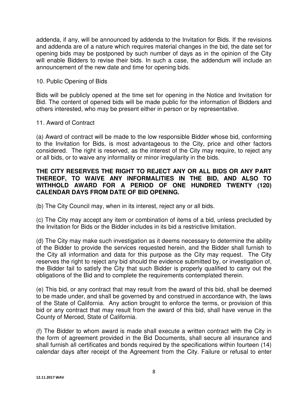addenda, if any, will be announced by addenda to the Invitation for Bids. If the revisions and addenda are of a nature which requires material changes in the bid, the date set for opening bids may be postponed by such number of days as in the opinion of the City will enable Bidders to revise their bids. In such a case, the addendum will include an announcement of the new date and time for opening bids.

#### 10. Public Opening of Bids

Bids will be publicly opened at the time set for opening in the Notice and Invitation for Bid. The content of opened bids will be made public for the information of Bidders and others interested, who may be present either in person or by representative.

#### 11. Award of Contract

(a) Award of contract will be made to the low responsible Bidder whose bid, conforming to the Invitation for Bids, is most advantageous to the City, price and other factors considered. The right is reserved, as the interest of the City may require, to reject any or all bids, or to waive any informality or minor irregularity in the bids.

#### **THE CITY RESERVES THE RIGHT TO REJECT ANY OR ALL BIDS OR ANY PART THEREOF, TO WAIVE ANY INFORMALITIES IN THE BID, AND ALSO TO WITHHOLD AWARD FOR A PERIOD OF ONE HUNDRED TWENTY (120) CALENDAR DAYS FROM DATE OF BID OPENING.**

(b) The City Council may, when in its interest, reject any or all bids.

(c) The City may accept any item or combination of items of a bid, unless precluded by the Invitation for Bids or the Bidder includes in its bid a restrictive limitation.

(d) The City may make such investigation as it deems necessary to determine the ability of the Bidder to provide the services requested herein, and the Bidder shall furnish to the City all information and data for this purpose as the City may request. The City reserves the right to reject any bid should the evidence submitted by, or investigation of, the Bidder fail to satisfy the City that such Bidder is properly qualified to carry out the obligations of the Bid and to complete the requirements contemplated therein.

(e) This bid, or any contract that may result from the award of this bid, shall be deemed to be made under, and shall be governed by and construed in accordance with, the laws of the State of California. Any action brought to enforce the terms, or provision of this bid or any contract that may result from the award of this bid, shall have venue in the County of Merced, State of California.

(f) The Bidder to whom award is made shall execute a written contract with the City in the form of agreement provided in the Bid Documents, shall secure all insurance and shall furnish all certificates and bonds required by the specifications within fourteen (14) calendar days after receipt of the Agreement from the City. Failure or refusal to enter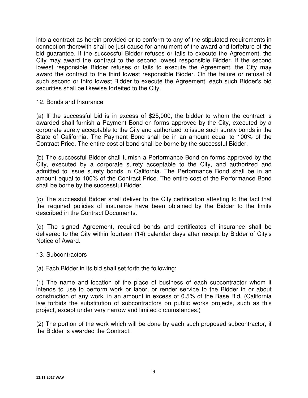into a contract as herein provided or to conform to any of the stipulated requirements in connection therewith shall be just cause for annulment of the award and forfeiture of the bid guarantee. If the successful Bidder refuses or fails to execute the Agreement, the City may award the contract to the second lowest responsible Bidder. If the second lowest responsible Bidder refuses or fails to execute the Agreement, the City may award the contract to the third lowest responsible Bidder. On the failure or refusal of such second or third lowest Bidder to execute the Agreement, each such Bidder's bid securities shall be likewise forfeited to the City.

#### 12. Bonds and Insurance

(a) If the successful bid is in excess of \$25,000, the bidder to whom the contract is awarded shall furnish a Payment Bond on forms approved by the City, executed by a corporate surety acceptable to the City and authorized to issue such surety bonds in the State of California. The Payment Bond shall be in an amount equal to 100% of the Contract Price. The entire cost of bond shall be borne by the successful Bidder.

(b) The successful Bidder shall furnish a Performance Bond on forms approved by the City, executed by a corporate surety acceptable to the City, and authorized and admitted to issue surety bonds in California. The Performance Bond shall be in an amount equal to 100% of the Contract Price. The entire cost of the Performance Bond shall be borne by the successful Bidder.

(c) The successful Bidder shall deliver to the City certification attesting to the fact that the required policies of insurance have been obtained by the Bidder to the limits described in the Contract Documents.

(d) The signed Agreement, required bonds and certificates of insurance shall be delivered to the City within fourteen (14) calendar days after receipt by Bidder of City's Notice of Award.

#### 13. Subcontractors

(a) Each Bidder in its bid shall set forth the following:

(1) The name and location of the place of business of each subcontractor whom it intends to use to perform work or labor, or render service to the Bidder in or about construction of any work, in an amount in excess of 0.5% of the Base Bid. (California law forbids the substitution of subcontractors on public works projects, such as this project, except under very narrow and limited circumstances.)

(2) The portion of the work which will be done by each such proposed subcontractor, if the Bidder is awarded the Contract.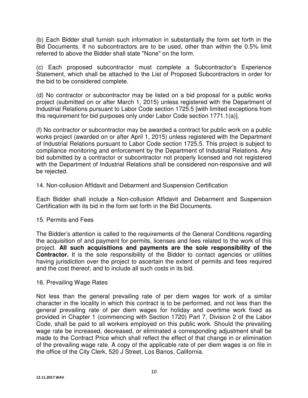(b) Each Bidder shall furnish such information in substantially the form set forth in the Bid Documents. If no subcontractors are to be used, other than within the 0.5% limit referred to above the Bidder shall state "None" on the form.

(c) Each proposed subcontractor must complete a Subcontractor's Experience Statement, which shall be attached to the List of Proposed Subcontractors in order for the bid to be considered complete.

(d) No contractor or subcontractor may be listed on a bid proposal for a public works project (submitted on or after March 1, 2015) unless registered with the Department of Industrial Relations pursuant to Labor Code section 1725.5 [with limited exceptions from this requirement for bid purposes only under Labor Code section 1771.1(a)].

(f) No contractor or subcontractor may be awarded a contract for public work on a public works project (awarded on or after April 1, 2015) unless registered with the Department of Industrial Relations pursuant to Labor Code section 1725.5. This project is subject to compliance monitoring and enforcement by the Department of Industrial Relations. Any bid submitted by a contractor or subcontractor not properly licensed and not registered with the Department of Industrial Relations shall be considered non-responsive and will be rejected.

#### 14. Non-collusion Affidavit and Debarment and Suspension Certification

Each Bidder shall include a Non-collusion Affidavit and Debarment and Suspension Certification with its bid in the form set forth in the Bid Documents.

#### 15. Permits and Fees

The Bidder's attention is called to the requirements of the General Conditions regarding the acquisition of and payment for permits, licenses and fees related to the work of this project. **All such acquisitions and payments are the sole responsibility of the Contractor.** It is the sole responsibility of the Bidder to contact agencies or utilities having jurisdiction over the project to ascertain the extent of permits and fees required and the cost thereof, and to include all such costs in its bid.

#### 16. Prevailing Wage Rates

Not less than the general prevailing rate of per diem wages for work of a similar character in the locality in which this contract is to be performed, and not less than the general prevailing rate of per diem wages for holiday and overtime work fixed as provided in Chapter 1 (commencing with Section 1720) Part 7, Division 2 of the Labor Code, shall be paid to all workers employed on this public work. Should the prevailing wage rate be increased, decreased, or eliminated a corresponding adjustment shall be made to the Contract Price which shall reflect the effect of that change in or elimination of the prevailing wage rate. A copy of the applicable rate of per diem wages is on file in the office of the City Clerk, 520 J Street, Los Banos, California.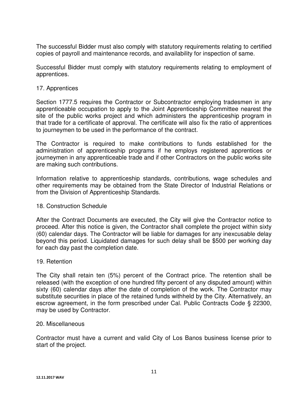The successful Bidder must also comply with statutory requirements relating to certified copies of payroll and maintenance records, and availability for inspection of same.

Successful Bidder must comply with statutory requirements relating to employment of apprentices.

#### 17. Apprentices

Section 1777.5 requires the Contractor or Subcontractor employing tradesmen in any apprenticeable occupation to apply to the Joint Apprenticeship Committee nearest the site of the public works project and which administers the apprenticeship program in that trade for a certificate of approval. The certificate will also fix the ratio of apprentices to journeymen to be used in the performance of the contract.

The Contractor is required to make contributions to funds established for the administration of apprenticeship programs if he employs registered apprentices or journeymen in any apprenticeable trade and if other Contractors on the public works site are making such contributions.

Information relative to apprenticeship standards, contributions, wage schedules and other requirements may be obtained from the State Director of Industrial Relations or from the Division of Apprenticeship Standards.

#### 18. Construction Schedule

After the Contract Documents are executed, the City will give the Contractor notice to proceed. After this notice is given, the Contractor shall complete the project within sixty (60) calendar days. The Contractor will be liable for damages for any inexcusable delay beyond this period. Liquidated damages for such delay shall be \$500 per working day for each day past the completion date.

#### 19. Retention

The City shall retain ten (5%) percent of the Contract price. The retention shall be released (with the exception of one hundred fifty percent of any disputed amount) within sixty (60) calendar days after the date of completion of the work. The Contractor may substitute securities in place of the retained funds withheld by the City. Alternatively, an escrow agreement, in the form prescribed under Cal. Public Contracts Code § 22300, may be used by Contractor.

#### 20. Miscellaneous

Contractor must have a current and valid City of Los Banos business license prior to start of the project.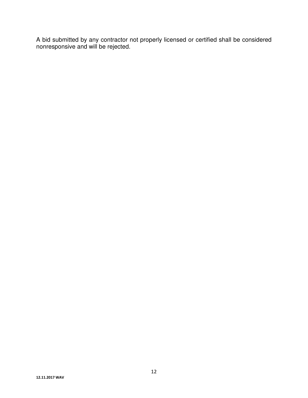A bid submitted by any contractor not properly licensed or certified shall be considered nonresponsive and will be rejected.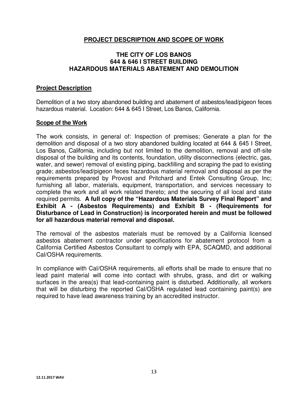#### **PROJECT DESCRIPTION AND SCOPE OF WORK**

#### **THE CITY OF LOS BANOS 644 & 646 I STREET BUILDING HAZARDOUS MATERIALS ABATEMENT AND DEMOLITION**

#### **Project Description**

Demolition of a two story abandoned building and abatement of asbestos/lead/pigeon feces hazardous material. Location: 644 & 645 I Street, Los Banos, California.

#### **Scope of the Work**

The work consists, in general of: Inspection of premises; Generate a plan for the demolition and disposal of a two story abandoned building located at 644 & 645 I Street, Los Banos, California, including but not limited to the demolition, removal and off-site disposal of the building and its contents, foundation, utility disconnections (electric, gas, water, and sewer) removal of existing piping, backfilling and scraping the pad to existing grade; asbestos/lead/pigeon feces hazardous material removal and disposal as per the requirements prepared by Provost and Pritchard and Entek Consulting Group, Inc; furnishing all labor, materials, equipment, transportation, and services necessary to complete the work and all work related thereto; and the securing of all local and state required permits. **A full copy of the "Hazardous Materials Survey Final Report" and Exhibit A - (Asbestos Requirements) and Exhibit B - (Requirements for Disturbance of Lead in Construction) is incorporated herein and must be followed for all hazardous material removal and disposal.**

The removal of the asbestos materials must be removed by a California licensed asbestos abatement contractor under specifications for abatement protocol from a California Certified Asbestos Consultant to comply with EPA, SCAQMD, and additional Cal/OSHA requirements.

In compliance with Cal/OSHA requirements, all efforts shall be made to ensure that no lead paint material will come into contact with shrubs, grass, and dirt or walking surfaces in the area(s) that lead-containing paint is disturbed. Additionally, all workers that will be disturbing the reported Cal/OSHA regulated lead containing paint(s) are required to have lead awareness training by an accredited instructor.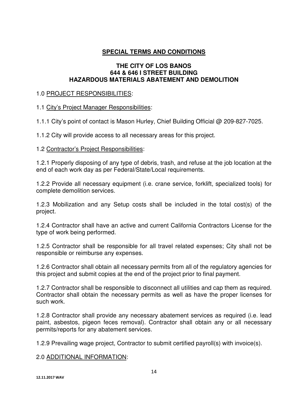## **SPECIAL TERMS AND CONDITIONS**

#### **THE CITY OF LOS BANOS 644 & 646 I STREET BUILDING HAZARDOUS MATERIALS ABATEMENT AND DEMOLITION**

#### 1.0 PROJECT RESPONSIBILITIES:

## 1.1 City's Project Manager Responsibilities:

1.1.1 City's point of contact is Mason Hurley, Chief Building Official @ 209-827-7025.

1.1.2 City will provide access to all necessary areas for this project.

#### 1.2 Contractor's Project Responsibilities:

1.2.1 Properly disposing of any type of debris, trash, and refuse at the job location at the end of each work day as per Federal/State/Local requirements.

1.2.2 Provide all necessary equipment (i.e. crane service, forklift, specialized tools) for complete demolition services.

1.2.3 Mobilization and any Setup costs shall be included in the total cost(s) of the project.

1.2.4 Contractor shall have an active and current California Contractors License for the type of work being performed.

1.2.5 Contractor shall be responsible for all travel related expenses; City shall not be responsible or reimburse any expenses.

1.2.6 Contractor shall obtain all necessary permits from all of the regulatory agencies for this project and submit copies at the end of the project prior to final payment.

1.2.7 Contractor shall be responsible to disconnect all utilities and cap them as required. Contractor shall obtain the necessary permits as well as have the proper licenses for such work.

1.2.8 Contractor shall provide any necessary abatement services as required (i.e. lead paint, asbestos, pigeon feces removal). Contractor shall obtain any or all necessary permits/reports for any abatement services.

1.2.9 Prevailing wage project, Contractor to submit certified payroll(s) with invoice(s).

#### 2.0 ADDITIONAL INFORMATION: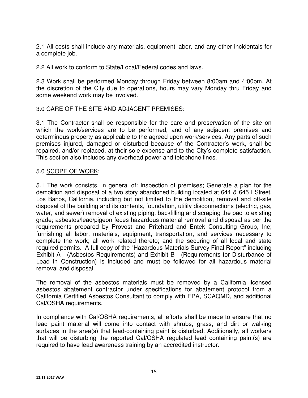2.1 All costs shall include any materials, equipment labor, and any other incidentals for a complete job.

2.2 All work to conform to State/Local/Federal codes and laws.

2.3 Work shall be performed Monday through Friday between 8:00am and 4:00pm. At the discretion of the City due to operations, hours may vary Monday thru Friday and some weekend work may be involved.

#### 3.0 CARE OF THE SITE AND ADJACENT PREMISES:

3.1 The Contractor shall be responsible for the care and preservation of the site on which the work/services are to be performed, and of any adjacent premises and coterminous property as applicable to the agreed upon work/services. Any parts of such premises injured, damaged or disturbed because of the Contractor's work, shall be repaired, and/or replaced, at their sole expense and to the City's complete satisfaction. This section also includes any overhead power and telephone lines.

## 5.0 SCOPE OF WORK:

5.1 The work consists, in general of: Inspection of premises; Generate a plan for the demolition and disposal of a two story abandoned building located at 644 & 645 I Street, Los Banos, California, including but not limited to the demolition, removal and off-site disposal of the building and its contents, foundation, utility disconnections (electric, gas, water, and sewer) removal of existing piping, backfilling and scraping the pad to existing grade; asbestos/lead/pigeon feces hazardous material removal and disposal as per the requirements prepared by Provost and Pritchard and Entek Consulting Group, Inc; furnishing all labor, materials, equipment, transportation, and services necessary to complete the work; all work related thereto; and the securing of all local and state required permits. A full copy of the "Hazardous Materials Survey Final Report" including Exhibit A - (Asbestos Requirements) and Exhibit B - (Requirements for Disturbance of Lead in Construction) is included and must be followed for all hazardous material removal and disposal.

The removal of the asbestos materials must be removed by a California licensed asbestos abatement contractor under specifications for abatement protocol from a California Certified Asbestos Consultant to comply with EPA, SCAQMD, and additional Cal/OSHA requirements.

In compliance with Cal/OSHA requirements, all efforts shall be made to ensure that no lead paint material will come into contact with shrubs, grass, and dirt or walking surfaces in the area(s) that lead-containing paint is disturbed. Additionally, all workers that will be disturbing the reported Cal/OSHA regulated lead containing paint(s) are required to have lead awareness training by an accredited instructor.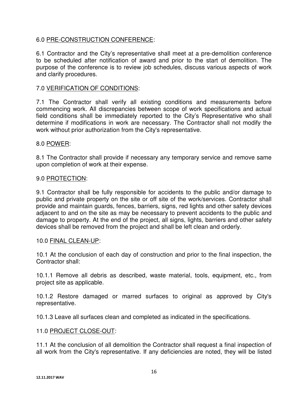## 6.0 PRE-CONSTRUCTION CONFERENCE:

6.1 Contractor and the City's representative shall meet at a pre-demolition conference to be scheduled after notification of award and prior to the start of demolition. The purpose of the conference is to review job schedules, discuss various aspects of work and clarify procedures.

#### 7.0 VERIFICATION OF CONDITIONS:

7.1 The Contractor shall verify all existing conditions and measurements before commencing work. All discrepancies between scope of work specifications and actual field conditions shall be immediately reported to the City's Representative who shall determine if modifications in work are necessary. The Contractor shall not modify the work without prior authorization from the City's representative.

#### 8.0 POWER:

8.1 The Contractor shall provide if necessary any temporary service and remove same upon completion of work at their expense.

#### 9.0 PROTECTION:

9.1 Contractor shall be fully responsible for accidents to the public and/or damage to public and private property on the site or off site of the work/services. Contractor shall provide and maintain guards, fences, barriers, signs, red lights and other safety devices adjacent to and on the site as may be necessary to prevent accidents to the public and damage to property. At the end of the project, all signs, lights, barriers and other safety devices shall be removed from the project and shall be left clean and orderly.

#### 10.0 FINAL CLEAN-UP:

10.1 At the conclusion of each day of construction and prior to the final inspection, the Contractor shall:

10.1.1 Remove all debris as described, waste material, tools, equipment, etc., from project site as applicable.

10.1.2 Restore damaged or marred surfaces to original as approved by City's representative.

10.1.3 Leave all surfaces clean and completed as indicated in the specifications.

#### 11.0 PROJECT CLOSE-OUT:

11.1 At the conclusion of all demolition the Contractor shall request a final inspection of all work from the City's representative. If any deficiencies are noted, they will be listed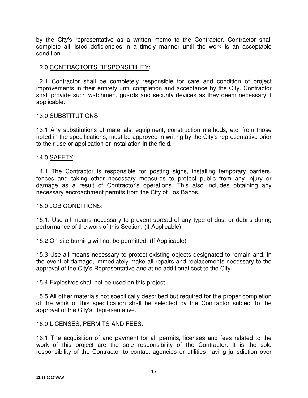by the City's representative as a written memo to the Contractor. Contractor shall complete all listed deficiencies in a timely manner until the work is an acceptable condition.

## 12.0 CONTRACTOR'S RESPONSIBILITY:

12.1 Contractor shall be completely responsible for care and condition of project improvements in their entirety until completion and acceptance by the City. Contractor shall provide such watchmen, guards and security devices as they deem necessary if applicable.

#### 13.0 SUBSTITUTIONS:

13.1 Any substitutions of materials, equipment, construction methods, etc. from those noted in the specifications, must be approved in writing by the City's representative prior to their use or application or installation in the field.

#### 14.0 SAFETY:

14.1 The Contractor is responsible for posting signs, installing temporary barriers, fences and taking other necessary measures to protect public from any injury or damage as a result of Contractor's operations. This also includes obtaining any necessary encroachment permits from the City of Los Banos.

#### 15.0 JOB CONDITIONS:

15.1. Use all means necessary to prevent spread of any type of dust or debris during performance of the work of this Section. (If Applicable)

15.2 On-site burning will not be permitted. (If Applicable)

15.3 Use all means necessary to protect existing objects designated to remain and, in the event of damage, immediately make all repairs and replacements necessary to the approval of the City's Representative and at no additional cost to the City.

15.4 Explosives shall not be used on this project.

15.5 All other materials not specifically described but required for the proper completion of the work of this specification shall be selected by the Contractor subject to the approval of the City's Representative.

#### 16.0 LICENSES, PERMITS AND FEES:

16.1 The acquisition of and payment for all permits, licenses and fees related to the work of this project are the sole responsibility of the Contractor. It is the sole responsibility of the Contractor to contact agencies or utilities having jurisdiction over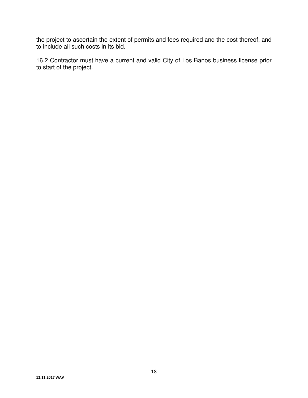the project to ascertain the extent of permits and fees required and the cost thereof, and to include all such costs in its bid.

16.2 Contractor must have a current and valid City of Los Banos business license prior to start of the project.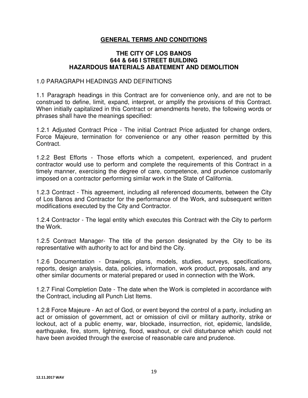## **GENERAL TERMS AND CONDITIONS**

#### **THE CITY OF LOS BANOS 644 & 646 I STREET BUILDING HAZARDOUS MATERIALS ABATEMENT AND DEMOLITION**

#### 1.0 PARAGRAPH HEADINGS AND DEFINITIONS

1.1 Paragraph headings in this Contract are for convenience only, and are not to be construed to define, limit, expand, interpret, or amplify the provisions of this Contract. When initially capitalized in this Contract or amendments hereto, the following words or phrases shall have the meanings specified:

1.2.1 Adjusted Contract Price - The initial Contract Price adjusted for change orders, Force Majeure, termination for convenience or any other reason permitted by this Contract.

1.2.2 Best Efforts - Those efforts which a competent, experienced, and prudent contractor would use to perform and complete the requirements of this Contract in a timely manner, exercising the degree of care, competence, and prudence customarily imposed on a contractor performing similar work in the State of California.

1.2.3 Contract - This agreement, including all referenced documents, between the City of Los Banos and Contractor for the performance of the Work, and subsequent written modifications executed by the City and Contractor.

1.2.4 Contractor - The legal entity which executes this Contract with the City to perform the Work.

1.2.5 Contract Manager- The title of the person designated by the City to be its representative with authority to act for and bind the City.

1.2.6 Documentation - Drawings, plans, models, studies, surveys, specifications, reports, design analysis, data, policies, information, work product, proposals, and any other similar documents or material prepared or used in connection with the Work.

1.2.7 Final Completion Date - The date when the Work is completed in accordance with the Contract, including all Punch List Items.

1.2.8 Force Majeure - An act of God, or event beyond the control of a party, including an act or omission of government, act or omission of civil or military authority, strike or lockout, act of a public enemy, war, blockade, insurrection, riot, epidemic, landslide, earthquake, fire, storm, lightning, flood, washout, or civil disturbance which could not have been avoided through the exercise of reasonable care and prudence.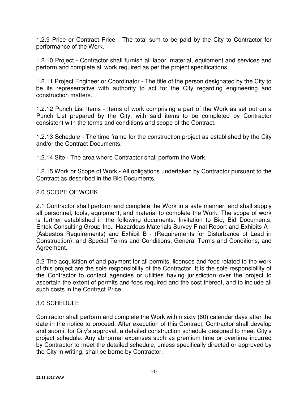1.2.9 Price or Contract Price - The total sum to be paid by the City to Contractor for performance of the Work.

1.2.10 Project - Contractor shall furnish all labor, material, equipment and services and perform and complete all work required as per the project specifications.

1.2.11 Project Engineer or Coordinator - The title of the person designated by the City to be its representative with authority to act for the City regarding engineering and construction matters.

1.2.12 Punch List Items - Items of work comprising a part of the Work as set out on a Punch List prepared by the City, with said items to be completed by Contractor consistent with the terms and conditions and scope of the Contract.

1.2.13 Schedule - The time frame for the construction project as established by the City and/or the Contract Documents.

1.2.14 Site - The area where Contractor shall perform the Work.

1.2.15 Work or Scope of Work - All obligations undertaken by Contractor pursuant to the Contract as described in the Bid Documents.

## 2.0 SCOPE OF WORK

2.1 Contractor shall perform and complete the Work in a safe manner, and shall supply all personnel, tools, equipment, and material to complete the Work. The scope of work is further established in the following documents: Invitation to Bid; Bid Documents; Entek Consulting Group Inc., Hazardous Materials Survey Final Report and Exhibits A - (Asbestos Requirements) and Exhibit B - (Requirements for Disturbance of Lead in Construction); and Special Terms and Conditions; General Terms and Conditions; and Agreement.

2.2 The acquisition of and payment for all permits, licenses and fees related to the work of this project are the sole responsibility of the Contractor. It is the sole responsibility of the Contractor to contact agencies or utilities having jurisdiction over the project to ascertain the extent of permits and fees required and the cost thereof, and to include all such costs in the Contract Price.

## 3.0 SCHEDULE

Contractor shall perform and complete the Work within sixty (60) calendar days after the date in the notice to proceed. After execution of this Contract, Contractor shall develop and submit for City's approval, a detailed construction schedule designed to meet City's project schedule. Any abnormal expenses such as premium time or overtime incurred by Contractor to meet the detailed schedule, unless specifically directed or approved by the City in writing, shall be borne by Contractor.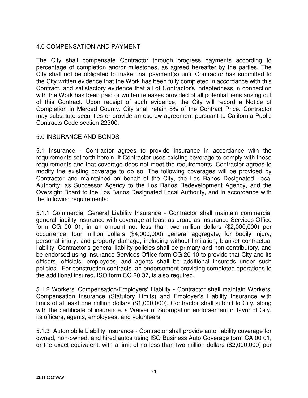## 4.0 COMPENSATION AND PAYMENT

The City shall compensate Contractor through progress payments according to percentage of completion and/or milestones, as agreed hereafter by the parties. The City shall not be obligated to make final payment(s) until Contractor has submitted to the City written evidence that the Work has been fully completed in accordance with this Contract, and satisfactory evidence that all of Contractor's indebtedness in connection with the Work has been paid or written releases provided of all potential liens arising out of this Contract. Upon receipt of such evidence, the City will record a Notice of Completion in Merced County. City shall retain 5% of the Contract Price. Contractor may substitute securities or provide an escrow agreement pursuant to California Public Contracts Code section 22300.

## 5.0 INSURANCE AND BONDS

5.1 Insurance - Contractor agrees to provide insurance in accordance with the requirements set forth herein. If Contractor uses existing coverage to comply with these requirements and that coverage does not meet the requirements, Contractor agrees to modify the existing coverage to do so. The following coverages will be provided by Contractor and maintained on behalf of the City, the Los Banos Designated Local Authority, as Successor Agency to the Los Banos Redevelopment Agency, and the Oversight Board to the Los Banos Designated Local Authority, and in accordance with the following requirements:

5.1.1 Commercial General Liability Insurance - Contractor shall maintain commercial general liability insurance with coverage at least as broad as Insurance Services Office form CG 00 01, in an amount not less than two million dollars (\$2,000,000) per occurrence, four million dollars (\$4,000,000) general aggregate, for bodily injury, personal injury, and property damage, including without limitation, blanket contractual liability. Contractor's general liability policies shall be primary and non-contributory, and be endorsed using Insurance Services Office form CG 20 10 to provide that City and its officers, officials, employees, and agents shall be additional insureds under such policies. For construction contracts, an endorsement providing completed operations to the additional insured, ISO form CG 20 37, is also required.

5.1.2 Workers' Compensation/Employers' Liability - Contractor shall maintain Workers' Compensation Insurance (Statutory Limits) and Employer's Liability Insurance with limits of at least one million dollars (\$1,000,000). Contractor shall submit to City, along with the certificate of insurance, a Waiver of Subrogation endorsement in favor of City, its officers, agents, employees, and volunteers.

5.1.3 Automobile Liability Insurance - Contractor shall provide auto liability coverage for owned, non-owned, and hired autos using ISO Business Auto Coverage form CA 00 01, or the exact equivalent, with a limit of no less than two million dollars (\$2,000,000) per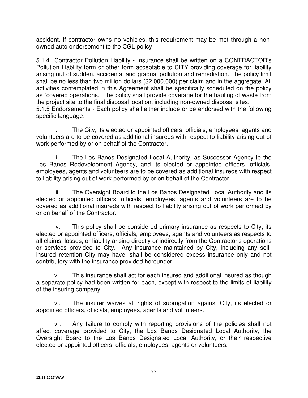accident. If contractor owns no vehicles, this requirement may be met through a nonowned auto endorsement to the CGL policy

5.1.4 Contractor Pollution Liability - Insurance shall be written on a CONTRACTOR's Pollution Liability form or other form acceptable to CITY providing coverage for liability arising out of sudden, accidental and gradual pollution and remediation. The policy limit shall be no less than two million dollars (\$2,000,000) per claim and in the aggregate. All activities contemplated in this Agreement shall be specifically scheduled on the policy as "covered operations." The policy shall provide coverage for the hauling of waste from the project site to the final disposal location, including non-owned disposal sites. 5.1.5 Endorsements - Each policy shall either include or be endorsed with the following specific language:

 i. The City, its elected or appointed officers, officials, employees, agents and volunteers are to be covered as additional insureds with respect to liability arising out of work performed by or on behalf of the Contractor.

 ii. The Los Banos Designated Local Authority, as Successor Agency to the Los Banos Redevelopment Agency, and its elected or appointed officers, officials, employees, agents and volunteers are to be covered as additional insureds with respect to liability arising out of work performed by or on behalf of the Contractor

iii. The Oversight Board to the Los Banos Designated Local Authority and its elected or appointed officers, officials, employees, agents and volunteers are to be covered as additional insureds with respect to liability arising out of work performed by or on behalf of the Contractor.

iv. This policy shall be considered primary insurance as respects to City, its elected or appointed officers, officials, employees, agents and volunteers as respects to all claims, losses, or liability arising directly or indirectly from the Contractor's operations or services provided to City. Any insurance maintained by City, including any selfinsured retention City may have, shall be considered excess insurance only and not contributory with the insurance provided hereunder.

 v. This insurance shall act for each insured and additional insured as though a separate policy had been written for each, except with respect to the limits of liability of the insuring company.

 vi. The insurer waives all rights of subrogation against City, its elected or appointed officers, officials, employees, agents and volunteers.

 vii. Any failure to comply with reporting provisions of the policies shall not affect coverage provided to City, the Los Banos Designated Local Authority, the Oversight Board to the Los Banos Designated Local Authority, or their respective elected or appointed officers, officials, employees, agents or volunteers.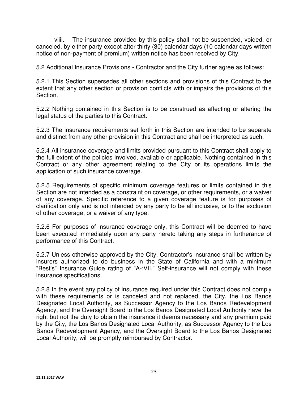viiii. The insurance provided by this policy shall not be suspended, voided, or canceled, by either party except after thirty (30) calendar days (10 calendar days written notice of non-payment of premium) written notice has been received by City.

5.2 Additional Insurance Provisions - Contractor and the City further agree as follows:

5.2.1 This Section supersedes all other sections and provisions of this Contract to the extent that any other section or provision conflicts with or impairs the provisions of this Section.

5.2.2 Nothing contained in this Section is to be construed as affecting or altering the legal status of the parties to this Contract.

5.2.3 The insurance requirements set forth in this Section are intended to be separate and distinct from any other provision in this Contract and shall be interpreted as such.

5.2.4 All insurance coverage and limits provided pursuant to this Contract shall apply to the full extent of the policies involved, available or applicable. Nothing contained in this Contract or any other agreement relating to the City or its operations limits the application of such insurance coverage.

5.2.5 Requirements of specific minimum coverage features or limits contained in this Section are not intended as a constraint on coverage, or other requirements, or a waiver of any coverage. Specific reference to a given coverage feature is for purposes of clarification only and is not intended by any party to be all inclusive, or to the exclusion of other coverage, or a waiver of any type.

5.2.6 For purposes of insurance coverage only, this Contract will be deemed to have been executed immediately upon any party hereto taking any steps in furtherance of performance of this Contract.

5.2.7 Unless otherwise approved by the City, Contractor's insurance shall be written by insurers authorized to do business in the State of California and with a minimum "Best's" Insurance Guide rating of "A-:VII." Self-insurance will not comply with these insurance specifications.

5.2.8 In the event any policy of insurance required under this Contract does not comply with these requirements or is canceled and not replaced, the City, the Los Banos Designated Local Authority, as Successor Agency to the Los Banos Redevelopment Agency, and the Oversight Board to the Los Banos Designated Local Authority have the right but not the duty to obtain the insurance it deems necessary and any premium paid by the City, the Los Banos Designated Local Authority, as Successor Agency to the Los Banos Redevelopment Agency, and the Oversight Board to the Los Banos Designated Local Authority, will be promptly reimbursed by Contractor.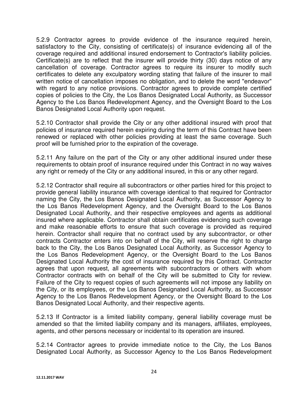5.2.9 Contractor agrees to provide evidence of the insurance required herein, satisfactory to the City, consisting of certificate(s) of insurance evidencing all of the coverage required and additional insured endorsement to Contractor's liability policies. Certificate(s) are to reflect that the insurer will provide thirty (30) days notice of any cancellation of coverage. Contractor agrees to require its insurer to modify such certificates to delete any exculpatory wording stating that failure of the insurer to mail written notice of cancellation imposes no obligation, and to delete the word "endeavor" with regard to any notice provisions. Contractor agrees to provide complete certified copies of policies to the City, the Los Banos Designated Local Authority, as Successor Agency to the Los Banos Redevelopment Agency, and the Oversight Board to the Los Banos Designated Local Authority upon request.

5.2.10 Contractor shall provide the City or any other additional insured with proof that policies of insurance required herein expiring during the term of this Contract have been renewed or replaced with other policies providing at least the same coverage. Such proof will be furnished prior to the expiration of the coverage.

5.2.11 Any failure on the part of the City or any other additional insured under these requirements to obtain proof of insurance required under this Contract in no way waives any right or remedy of the City or any additional insured, in this or any other regard.

5.2.12 Contractor shall require all subcontractors or other parties hired for this project to provide general liability insurance with coverage identical to that required for Contractor naming the City, the Los Banos Designated Local Authority, as Successor Agency to the Los Banos Redevelopment Agency, and the Oversight Board to the Los Banos Designated Local Authority, and their respective employees and agents as additional insured where applicable. Contractor shall obtain certificates evidencing such coverage and make reasonable efforts to ensure that such coverage is provided as required herein. Contractor shall require that no contract used by any subcontractor, or other contracts Contractor enters into on behalf of the City, will reserve the right to charge back to the City, the Los Banos Designated Local Authority, as Successor Agency to the Los Banos Redevelopment Agency, or the Oversight Board to the Los Banos Designated Local Authority the cost of insurance required by this Contract. Contractor agrees that upon request, all agreements with subcontractors or others with whom Contractor contracts with on behalf of the City will be submitted to City for review. Failure of the City to request copies of such agreements will not impose any liability on the City, or its employees, or the Los Banos Designated Local Authority, as Successor Agency to the Los Banos Redevelopment Agency, or the Oversight Board to the Los Banos Designated Local Authority, and their respective agents.

5.2.13 If Contractor is a limited liability company, general liability coverage must be amended so that the limited liability company and its managers, affiliates, employees, agents, and other persons necessary or incidental to its operation are insured.

5.2.14 Contractor agrees to provide immediate notice to the City, the Los Banos Designated Local Authority, as Successor Agency to the Los Banos Redevelopment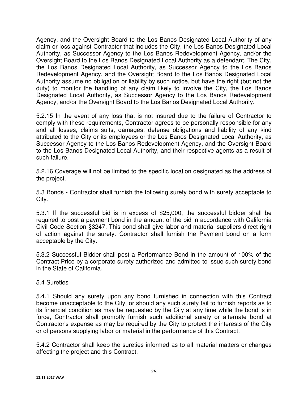Agency, and the Oversight Board to the Los Banos Designated Local Authority of any claim or loss against Contractor that includes the City, the Los Banos Designated Local Authority, as Successor Agency to the Los Banos Redevelopment Agency, and/or the Oversight Board to the Los Banos Designated Local Authority as a defendant. The City, the Los Banos Designated Local Authority, as Successor Agency to the Los Banos Redevelopment Agency, and the Oversight Board to the Los Banos Designated Local Authority assume no obligation or liability by such notice, but have the right (but not the duty) to monitor the handling of any claim likely to involve the City, the Los Banos Designated Local Authority, as Successor Agency to the Los Banos Redevelopment Agency, and/or the Oversight Board to the Los Banos Designated Local Authority.

5.2.15 In the event of any loss that is not insured due to the failure of Contractor to comply with these requirements, Contractor agrees to be personally responsible for any and all losses, claims suits, damages, defense obligations and liability of any kind attributed to the City or its employees or the Los Banos Designated Local Authority, as Successor Agency to the Los Banos Redevelopment Agency, and the Oversight Board to the Los Banos Designated Local Authority, and their respective agents as a result of such failure.

5.2.16 Coverage will not be limited to the specific location designated as the address of the project.

5.3 Bonds - Contractor shall furnish the following surety bond with surety acceptable to City.

5.3.1 If the successful bid is in excess of \$25,000, the successful bidder shall be required to post a payment bond in the amount of the bid in accordance with California Civil Code Section §3247. This bond shall give labor and material suppliers direct right of action against the surety. Contractor shall furnish the Payment bond on a form acceptable by the City.

5.3.2 Successful Bidder shall post a Performance Bond in the amount of 100% of the Contract Price by a corporate surety authorized and admitted to issue such surety bond in the State of California.

#### 5.4 Sureties

5.4.1 Should any surety upon any bond furnished in connection with this Contract become unacceptable to the City, or should any such surety fail to furnish reports as to its financial condition as may be requested by the City at any time while the bond is in force, Contractor shall promptly furnish such additional surety or alternate bond at Contractor's expense as may be required by the City to protect the interests of the City or of persons supplying labor or material in the performance of this Contract.

5.4.2 Contractor shall keep the sureties informed as to all material matters or changes affecting the project and this Contract.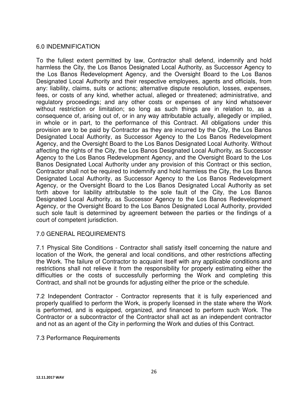## 6.0 INDEMNIFICATION

To the fullest extent permitted by law, Contractor shall defend, indemnify and hold harmless the City, the Los Banos Designated Local Authority, as Successor Agency to the Los Banos Redevelopment Agency, and the Oversight Board to the Los Banos Designated Local Authority and their respective employees, agents and officials, from any: liability, claims, suits or actions; alternative dispute resolution, losses, expenses, fees, or costs of any kind, whether actual, alleged or threatened; administrative, and regulatory proceedings; and any other costs or expenses of any kind whatsoever without restriction or limitation; so long as such things are in relation to, as a consequence of, arising out of, or in any way attributable actually, allegedly or implied, in whole or in part, to the performance of this Contract. All obligations under this provision are to be paid by Contractor as they are incurred by the City, the Los Banos Designated Local Authority, as Successor Agency to the Los Banos Redevelopment Agency, and the Oversight Board to the Los Banos Designated Local Authority. Without affecting the rights of the City, the Los Banos Designated Local Authority, as Successor Agency to the Los Banos Redevelopment Agency, and the Oversight Board to the Los Banos Designated Local Authority under any provision of this Contract or this section, Contractor shall not be required to indemnify and hold harmless the City, the Los Banos Designated Local Authority, as Successor Agency to the Los Banos Redevelopment Agency, or the Oversight Board to the Los Banos Designated Local Authority as set forth above for liability attributable to the sole fault of the City, the Los Banos Designated Local Authority, as Successor Agency to the Los Banos Redevelopment Agency, or the Oversight Board to the Los Banos Designated Local Authority, provided such sole fault is determined by agreement between the parties or the findings of a court of competent jurisdiction.

#### 7.0 GENERAL REQUIREMENTS

7.1 Physical Site Conditions - Contractor shall satisfy itself concerning the nature and location of the Work, the general and local conditions, and other restrictions affecting the Work. The failure of Contractor to acquaint itself with any applicable conditions and restrictions shall not relieve it from the responsibility for properly estimating either the difficulties or the costs of successfully performing the Work and completing this Contract, and shall not be grounds for adjusting either the price or the schedule.

7.2 Independent Contractor - Contractor represents that it is fully experienced and properly qualified to perform the Work, is properly licensed in the state where the Work is performed, and is equipped, organized, and financed to perform such Work. The Contractor or a subcontractor of the Contractor shall act as an independent contractor and not as an agent of the City in performing the Work and duties of this Contract.

#### 7.3 Performance Requirements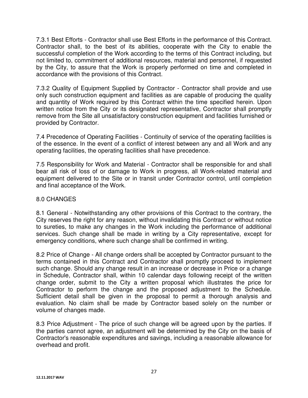7.3.1 Best Efforts - Contractor shall use Best Efforts in the performance of this Contract. Contractor shall, to the best of its abilities, cooperate with the City to enable the successful completion of the Work according to the terms of this Contract including, but not limited to, commitment of additional resources, material and personnel, if requested by the City, to assure that the Work is properly performed on time and completed in accordance with the provisions of this Contract.

7.3.2 Quality of Equipment Supplied by Contractor - Contractor shall provide and use only such construction equipment and facilities as are capable of producing the quality and quantity of Work required by this Contract within the time specified herein. Upon written notice from the City or its designated representative, Contractor shall promptly remove from the Site all unsatisfactory construction equipment and facilities furnished or provided by Contractor.

7.4 Precedence of Operating Facilities - Continuity of service of the operating facilities is of the essence. In the event of a conflict of interest between any and all Work and any operating facilities, the operating facilities shall have precedence.

7.5 Responsibility for Work and Material - Contractor shall be responsible for and shall bear all risk of loss of or damage to Work in progress, all Work-related material and equipment delivered to the Site or in transit under Contractor control, until completion and final acceptance of the Work.

## 8.0 CHANGES

8.1 General - Notwithstanding any other provisions of this Contract to the contrary, the City reserves the right for any reason, without invalidating this Contract or without notice to sureties, to make any changes in the Work including the performance of additional services. Such change shall be made in writing by a City representative, except for emergency conditions, where such change shall be confirmed in writing.

8.2 Price of Change - All change orders shall be accepted by Contractor pursuant to the terms contained in this Contract and Contractor shall promptly proceed to implement such change. Should any change result in an increase or decrease in Price or a change in Schedule, Contractor shall, within 10 calendar days following receipt of the written change order, submit to the City a written proposal which illustrates the price for Contractor to perform the change and the proposed adjustment to the Schedule. Sufficient detail shall be given in the proposal to permit a thorough analysis and evaluation. No claim shall be made by Contractor based solely on the number or volume of changes made.

8.3 Price Adjustment - The price of such change will be agreed upon by the parties. If the parties cannot agree, an adjustment will be determined by the City on the basis of Contractor's reasonable expenditures and savings, including a reasonable allowance for overhead and profit.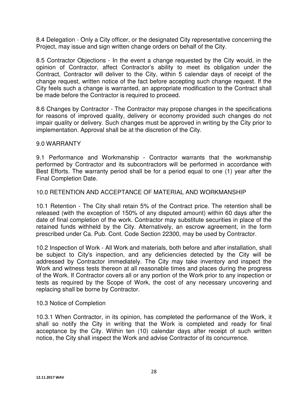8.4 Delegation - Only a City officer, or the designated City representative concerning the Project, may issue and sign written change orders on behalf of the City.

8.5 Contractor Objections - In the event a change requested by the City would, in the opinion of Contractor, affect Contractor's ability to meet its obligation under the Contract, Contractor will deliver to the City, within 5 calendar days of receipt of the change request, written notice of the fact before accepting such change request. If the City feels such a change is warranted, an appropriate modification to the Contract shall be made before the Contractor is required to proceed.

8.6 Changes by Contractor - The Contractor may propose changes in the specifications for reasons of improved quality, delivery or economy provided such changes do not impair quality or delivery. Such changes must be approved in writing by the City prior to implementation. Approval shall be at the discretion of the City.

#### 9.0 WARRANTY

9.1 Performance and Workmanship - Contractor warrants that the workmanship performed by Contractor and its subcontractors will be performed in accordance with Best Efforts. The warranty period shall be for a period equal to one (1) year after the Final Completion Date.

#### 10.0 RETENTION AND ACCEPTANCE OF MATERIAL AND WORKMANSHIP

10.1 Retention - The City shall retain 5% of the Contract price. The retention shall be released (with the exception of 150% of any disputed amount) within 60 days after the date of final completion of the work. Contractor may substitute securities in place of the retained funds withheld by the City. Alternatively, an escrow agreement, in the form prescribed under Ca. Pub. Cont. Code Section 22300, may be used by Contractor.

10.2 Inspection of Work - All Work and materials, both before and after installation, shall be subject to City's inspection, and any deficiencies detected by the City will be addressed by Contractor immediately. The City may take inventory and inspect the Work and witness tests thereon at all reasonable times and places during the progress of the Work. If Contractor covers all or any portion of the Work prior to any inspection or tests as required by the Scope of Work, the cost of any necessary uncovering and replacing shall be borne by Contractor.

#### 10.3 Notice of Completion

10.3.1 When Contractor, in its opinion, has completed the performance of the Work, it shall so notify the City in writing that the Work is completed and ready for final acceptance by the City. Within ten (10) calendar days after receipt of such written notice, the City shall inspect the Work and advise Contractor of its concurrence.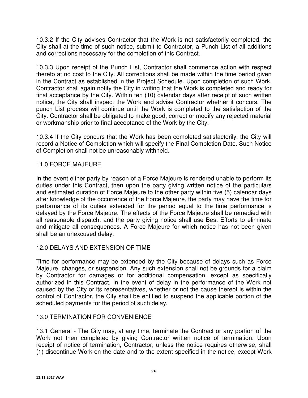10.3.2 If the City advises Contractor that the Work is not satisfactorily completed, the City shall at the time of such notice, submit to Contractor, a Punch List of all additions and corrections necessary for the completion of this Contract.

10.3.3 Upon receipt of the Punch List, Contractor shall commence action with respect thereto at no cost to the City. All corrections shall be made within the time period given in the Contract as established in the Project Schedule. Upon completion of such Work, Contractor shall again notify the City in writing that the Work is completed and ready for final acceptance by the City. Within ten (10) calendar days after receipt of such written notice, the City shall inspect the Work and advise Contractor whether it concurs. The punch List process will continue until the Work is completed to the satisfaction of the City. Contractor shall be obligated to make good, correct or modify any rejected material or workmanship prior to final acceptance of the Work by the City.

10.3.4 If the City concurs that the Work has been completed satisfactorily, the City will record a Notice of Completion which will specify the Final Completion Date. Such Notice of Completion shall not be unreasonably withheld.

## 11.0 FORCE MAJEURE

In the event either party by reason of a Force Majeure is rendered unable to perform its duties under this Contract, then upon the party giving written notice of the particulars and estimated duration of Force Majeure to the other party within five (5) calendar days after knowledge of the occurrence of the Force Majeure, the party may have the time for performance of its duties extended for the period equal to the time performance is delayed by the Force Majeure. The effects of the Force Majeure shall be remedied with all reasonable dispatch, and the party giving notice shall use Best Efforts to eliminate and mitigate all consequences. A Force Majeure for which notice has not been given shall be an unexcused delay.

## 12.0 DELAYS AND EXTENSION OF TIME

Time for performance may be extended by the City because of delays such as Force Majeure, changes, or suspension. Any such extension shall not be grounds for a claim by Contractor for damages or for additional compensation, except as specifically authorized in this Contract. In the event of delay in the performance of the Work not caused by the City or its representatives, whether or not the cause thereof is within the control of Contractor, the City shall be entitled to suspend the applicable portion of the scheduled payments for the period of such delay.

#### 13.0 TERMINATION FOR CONVENIENCE

13.1 General - The City may, at any time, terminate the Contract or any portion of the Work not then completed by giving Contractor written notice of termination. Upon receipt of notice of termination, Contractor, unless the notice requires otherwise, shall (1) discontinue Work on the date and to the extent specified in the notice, except Work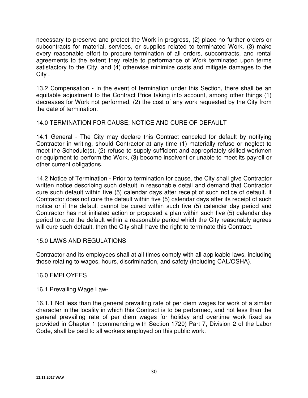necessary to preserve and protect the Work in progress, (2) place no further orders or subcontracts for material, services, or supplies related to terminated Work, (3) make every reasonable effort to procure termination of all orders, subcontracts, and rental agreements to the extent they relate to performance of Work terminated upon terms satisfactory to the City, and (4) otherwise minimize costs and mitigate damages to the City .

13.2 Compensation - In the event of termination under this Section, there shall be an equitable adjustment to the Contract Price taking into account, among other things (1) decreases for Work not performed, (2) the cost of any work requested by the City from the date of termination.

## 14.0 TERMINATION FOR CAUSE; NOTICE AND CURE OF DEFAULT

14.1 General - The City may declare this Contract canceled for default by notifying Contractor in writing, should Contractor at any time (1) materially refuse or neglect to meet the Schedule(s), (2) refuse to supply sufficient and appropriately skilled workmen or equipment to perform the Work, (3) become insolvent or unable to meet its payroll or other current obligations.

14.2 Notice of Termination - Prior to termination for cause, the City shall give Contractor written notice describing such default in reasonable detail and demand that Contractor cure such default within five (5) calendar days after receipt of such notice of default. If Contractor does not cure the default within five (5) calendar days after its receipt of such notice or if the default cannot be cured within such five (5) calendar day period and Contractor has not initiated action or proposed a plan within such five (5) calendar day period to cure the default within a reasonable period which the City reasonably agrees will cure such default, then the City shall have the right to terminate this Contract.

#### 15.0 LAWS AND REGULATIONS

Contractor and its employees shall at all times comply with all applicable laws, including those relating to wages, hours, discrimination, and safety (including CAL/OSHA).

#### 16.0 EMPLOYEES

#### 16.1 Prevailing Wage Law-

16.1.1 Not less than the general prevailing rate of per diem wages for work of a similar character in the locality in which this Contract is to be performed, and not less than the general prevailing rate of per diem wages for holiday and overtime work fixed as provided in Chapter 1 (commencing with Section 1720) Part 7, Division 2 of the Labor Code, shall be paid to all workers employed on this public work.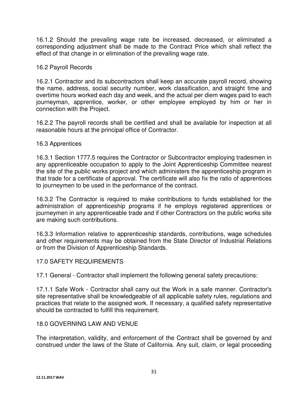16.1.2 Should the prevailing wage rate be increased, decreased, or eliminated a corresponding adjustment shall be made to the Contract Price which shall reflect the effect of that change in or elimination of the prevailing wage rate.

#### 16.2 Payroll Records

16.2.1 Contractor and its subcontractors shall keep an accurate payroll record, showing the name, address, social security number, work classification, and straight time and overtime hours worked each day and week, and the actual per diem wages paid to each journeyman, apprentice, worker, or other employee employed by him or her in connection with the Project.

16.2.2 The payroll records shall be certified and shall be available for inspection at all reasonable hours at the principal office of Contractor.

#### 16.3 Apprentices

16.3.1 Section 1777.5 requires the Contractor or Subcontractor employing tradesmen in any apprenticeable occupation to apply to the Joint Apprenticeship Committee nearest the site of the public works project and which administers the apprenticeship program in that trade for a certificate of approval. The certificate will also fix the ratio of apprentices to journeymen to be used in the performance of the contract.

16.3.2 The Contractor is required to make contributions to funds established for the administration of apprenticeship programs if he employs registered apprentices or journeymen in any apprenticeable trade and if other Contractors on the public works site are making such contributions.

16.3.3 Information relative to apprenticeship standards, contributions, wage schedules and other requirements may be obtained from the State Director of Industrial Relations or from the Division of Apprenticeship Standards.

## 17.0 SAFETY REQUIREMENTS

17.1 General - Contractor shall implement the following general safety precautions:

17.1.1 Safe Work - Contractor shall carry out the Work in a safe manner. Contractor's site representative shall be knowledgeable of all applicable safety rules, regulations and practices that relate to the assigned work. If necessary, a qualified safety representative should be contracted to fulfill this requirement.

#### 18.0 GOVERNING LAW AND VENUE

The interpretation, validity, and enforcement of the Contract shall be governed by and construed under the laws of the State of California. Any suit, claim, or legal proceeding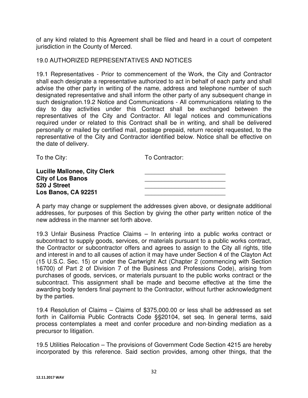of any kind related to this Agreement shall be filed and heard in a court of competent jurisdiction in the County of Merced.

#### 19.0 AUTHORIZED REPRESENTATIVES AND NOTICES

19.1 Representatives - Prior to commencement of the Work, the City and Contractor shall each designate a representative authorized to act in behalf of each party and shall advise the other party in writing of the name, address and telephone number of such designated representative and shall inform the other party of any subsequent change in such designation.19.2 Notice and Communications - All communications relating to the day to day activities under this Contract shall be exchanged between the representatives of the City and Contractor. All legal notices and communications required under or related to this Contract shall be in writing, and shall be delivered personally or mailed by certified mail, postage prepaid, return receipt requested, to the representative of the City and Contractor identified below. Notice shall be effective on the date of delivery.

To the City: To Contractor:

| <b>Lucille Mallonee, City Clerk</b> |  |
|-------------------------------------|--|
| <b>City of Los Banos</b>            |  |
| 520 J Street                        |  |
| Los Banos, CA 92251                 |  |

A party may change or supplement the addresses given above, or designate additional addresses, for purposes of this Section by giving the other party written notice of the new address in the manner set forth above.

19.3 Unfair Business Practice Claims – In entering into a public works contract or subcontract to supply goods, services, or materials pursuant to a public works contract, the Contractor or subcontractor offers and agrees to assign to the City all rights, title and interest in and to all causes of action it may have under Section 4 of the Clayton Act (15 U.S.C. Sec. 15) or under the Cartwright Act (Chapter 2 (commencing with Section 16700) of Part 2 of Division 7 of the Business and Professions Code), arising from purchases of goods, services, or materials pursuant to the public works contract or the subcontract. This assignment shall be made and become effective at the time the awarding body tenders final payment to the Contractor, without further acknowledgment by the parties.

19.4 Resolution of Claims – Claims of \$375,000.00 or less shall be addressed as set forth in California Public Contracts Code §§20104, set seq. In general terms, said process contemplates a meet and confer procedure and non-binding mediation as a precursor to litigation.

19.5 Utilities Relocation – The provisions of Government Code Section 4215 are hereby incorporated by this reference. Said section provides, among other things, that the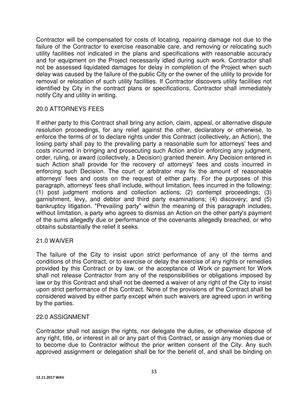Contractor will be compensated for costs of locating, repairing damage not due to the failure of the Contractor to exercise reasonable care, and removing or relocating such utility facilities not indicated in the plans and specifications with reasonable accuracy and for equipment on the Project necessarily idled during such work. Contractor shall not be assessed liquidated damages for delay in completion of the Project when such delay was caused by the failure of the public City or the owner of the utility to provide for removal or relocation of such utility facilities. If Contractor discovers utility facilities not identified by City in the contract plans or specifications, Contractor shall immediately notify City and utility in writing.

## 20.0 ATTORNEYS FEES

If either party to this Contract shall bring any action, claim, appeal, or alternative dispute resolution proceedings, for any relief against the other, declaratory or otherwise, to enforce the terms of or to declare rights under this Contract (collectively, an Action), the losing party shall pay to the prevailing party a reasonable sum for attorneys' fees and costs incurred in bringing and prosecuting such Action and/or enforcing any judgment, order, ruling, or award (collectively, a Decision) granted therein. Any Decision entered in such Action shall provide for the recovery of attorneys' fees and costs incurred in enforcing such Decision. The court or arbitrator may fix the amount of reasonable attorneys' fees and costs on the request of either party. For the purposes of this paragraph, attorneys' fees shall include, without limitation, fees incurred in the following: (1) post judgment motions and collection actions; (2) contempt proceedings; (3) garnishment, levy, and debtor and third party examinations; (4) discovery; and (5) bankruptcy litigation. "Prevailing party" within the meaning of this paragraph includes, without limitation, a party who agrees to dismiss an Action on the other party's payment of the sums allegedly due or performance of the covenants allegedly breached, or who obtains substantially the relief it seeks.

#### 21.0 WAIVER

The failure of the City to insist upon strict performance of any of the terms and conditions of this Contract, or to exercise or delay the exercise of any rights or remedies provided by this Contract or by law, or the acceptance of Work or payment for Work shall not release Contractor from any of the responsibilities or obligations imposed by law or by this Contract and shall not be deemed a waiver of any right of the City to insist upon strict performance of this Contract. None of the provisions of the Contract shall be considered waived by either party except when such waivers are agreed upon in writing by the parties.

#### 22.0 ASSIGNMENT

Contractor shall not assign the rights, nor delegate the duties, or otherwise dispose of any right, title, or interest in all or any part of this Contract, or assign any monies due or to become due to Contractor without the prior written consent of the City. Any such approved assignment or delegation shall be for the benefit of, and shall be binding on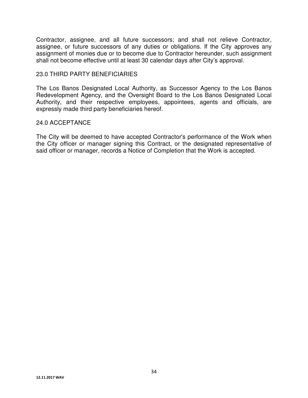Contractor, assignee, and all future successors; and shall not relieve Contractor, assignee, or future successors of any duties or obligations. If the City approves any assignment of monies due or to become due to Contractor hereunder, such assignment shall not become effective until at least 30 calendar days after City's approval.

#### 23.0 THIRD PARTY BENEFICIARIES

The Los Banos Designated Local Authority, as Successor Agency to the Los Banos Redevelopment Agency, and the Oversight Board to the Los Banos Designated Local Authority, and their respective employees, appointees, agents and officials, are expressly made third party beneficiaries hereof.

#### 24.0 ACCEPTANCE

The City will be deemed to have accepted Contractor's performance of the Work when the City officer or manager signing this Contract, or the designated representative of said officer or manager, records a Notice of Completion that the Work is accepted.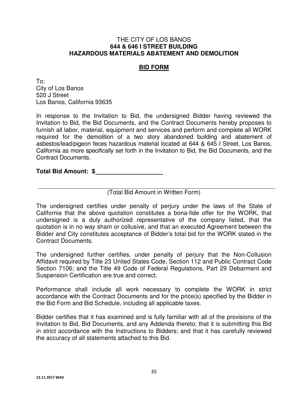#### **BID FORM**

To: City of Los Banos 520 J Street Los Banos, California 93635

In response to the Invitation to Bid, the undersigned Bidder having reviewed the Invitation to Bid, the Bid Documents, and the Contract Documents hereby proposes to furnish all labor, material, equipment and services and perform and complete all WORK required for the demolition of a two story abandoned building and abatement of asbestos/lead/pigeon feces hazardous material located at 644 & 645 I Street, Los Banos, California as more specifically set forth in the Invitation to Bid, the Bid Documents, and the Contract Documents.

#### **Total Bid Amount: \$**

(Total Bid Amount in Written Form)

The undersigned certifies under penalty of perjury under the laws of the State of California that the above quotation constitutes a bona-fide offer for the WORK, that undersigned is a duly authorized representative of the company listed, that the quotation is in no way sham or collusive, and that an executed Agreement between the Bidder and City constitutes acceptance of Bidder's total bid for the WORK stated in the Contract Documents.

The undersigned further certifies, under penalty of perjury that the Non-Collusion Affidavit required by Title 23 United States Code, Section 112 and Public Contract Code Section 7106; and the Title 49 Code of Federal Regulations, Part 29 Debarment and Suspension Certification are true and correct.

Performance shall include all work necessary to complete the WORK in strict accordance with the Contract Documents and for the price(s) specified by the Bidder in the Bid Form and Bid Schedule, including all applicable taxes.

Bidder certifies that it has examined and is fully familiar with all of the provisions of the Invitation to Bid, Bid Documents, and any Addenda thereto; that it is submitting this Bid in strict accordance with the Instructions to Bidders; and that it has carefully reviewed the accuracy of all statements attached to this Bid.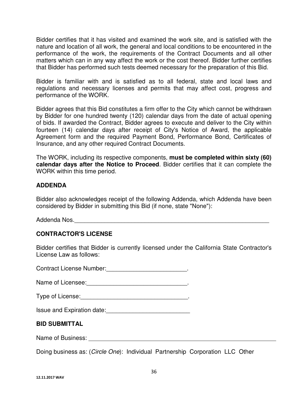Bidder certifies that it has visited and examined the work site, and is satisfied with the nature and location of all work, the general and local conditions to be encountered in the performance of the work, the requirements of the Contract Documents and all other matters which can in any way affect the work or the cost thereof. Bidder further certifies that Bidder has performed such tests deemed necessary for the preparation of this Bid.

Bidder is familiar with and is satisfied as to all federal, state and local laws and regulations and necessary licenses and permits that may affect cost, progress and performance of the WORK.

Bidder agrees that this Bid constitutes a firm offer to the City which cannot be withdrawn by Bidder for one hundred twenty (120) calendar days from the date of actual opening of bids. If awarded the Contract, Bidder agrees to execute and deliver to the City within fourteen (14) calendar days after receipt of City's Notice of Award, the applicable Agreement form and the required Payment Bond, Performance Bond, Certificates of Insurance, and any other required Contract Documents.

The WORK, including its respective components, **must be completed within sixty (60) calendar days after the Notice to Proceed**. Bidder certifies that it can complete the WORK within this time period.

## **ADDENDA**

Bidder also acknowledges receipt of the following Addenda, which Addenda have been considered by Bidder in submitting this Bid (if none, state "None"):

Addenda Nos.

## **CONTRACTOR'S LICENSE**

Bidder certifies that Bidder is currently licensed under the California State Contractor's License Law as follows:

Contract License Number: **Example 20** and the contract License Number:

Name of Licensee:\_\_\_\_\_\_\_\_\_\_\_\_\_\_\_\_\_\_\_\_\_\_\_\_\_\_\_\_\_\_.

Type of License:\_\_\_\_\_\_\_\_\_\_\_\_\_\_\_\_\_\_\_\_\_\_\_\_\_\_\_\_\_\_\_\_.

Issue and Expiration date: Material Contract and Expiration date:

#### **BID SUBMITTAL**

Name of Business: **Name of Business**:

Doing business as: (Circle One): Individual Partnership Corporation LLC Other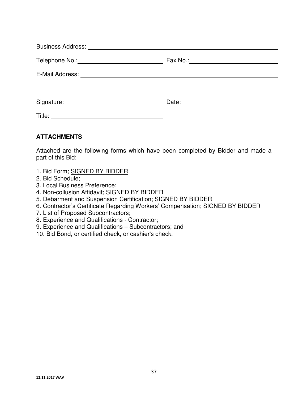| Title: |  |
|--------|--|

## **ATTACHMENTS**

Attached are the following forms which have been completed by Bidder and made a part of this Bid:

- 1. Bid Form; SIGNED BY BIDDER
- 2. Bid Schedule;
- 3. Local Business Preference;
- 4. Non-collusion Affidavit; SIGNED BY BIDDER
- 5. Debarment and Suspension Certification; SIGNED BY BIDDER
- 6. Contractor's Certificate Regarding Workers' Compensation; SIGNED BY BIDDER
- 7. List of Proposed Subcontractors;
- 8. Experience and Qualifications Contractor;
- 9. Experience and Qualifications Subcontractors; and
- 10. Bid Bond, or certified check, or cashier's check.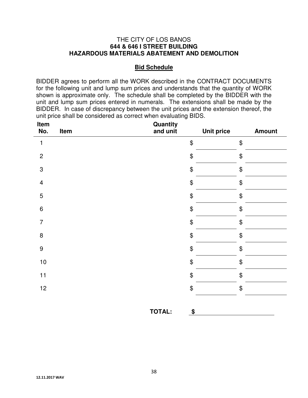#### **Bid Schedule**

BIDDER agrees to perform all the WORK described in the CONTRACT DOCUMENTS for the following unit and lump sum prices and understands that the quantity of WORK shown is approximate only. The schedule shall be completed by the BIDDER with the unit and lump sum prices entered in numerals. The extensions shall be made by the BIDDER. In case of discrepancy between the unit prices and the extension thereof, the unit price shall be considered as correct when evaluating BIDS.

| Item<br>No.      | Item | <b>Quantity</b><br>and unit | <b>Unit price</b> | <b>Amount</b> |
|------------------|------|-----------------------------|-------------------|---------------|
| $\mathbf{1}$     |      |                             | \$                | \$            |
| $\overline{c}$   |      |                             | \$                | \$            |
| $\sqrt{3}$       |      |                             | \$                | \$            |
| $\overline{4}$   |      |                             | \$                | \$            |
| 5                |      |                             | \$                | \$            |
| $\,6\,$          |      |                             | \$                | \$            |
| $\overline{7}$   |      |                             | \$                | \$            |
| $\bf 8$          |      |                             | \$                | \$            |
| $\boldsymbol{9}$ |      |                             | \$                | \$            |
| $10$             |      |                             | \$                | \$            |
| 11               |      |                             | \$                | \$            |
| 12               |      |                             | \$                | \$            |
|                  |      | <b>TOTAL:</b>               | \$                |               |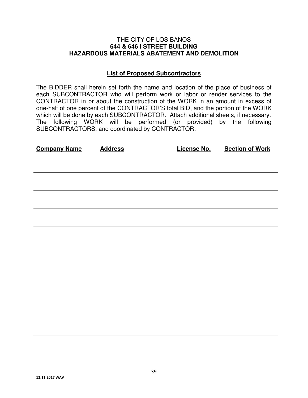#### **List of Proposed Subcontractors**

The BIDDER shall herein set forth the name and location of the place of business of each SUBCONTRACTOR who will perform work or labor or render services to the CONTRACTOR in or about the construction of the WORK in an amount in excess of one-half of one percent of the CONTRACTOR'S total BID, and the portion of the WORK which will be done by each SUBCONTRACTOR. Attach additional sheets, if necessary. The following WORK will be performed (or provided) by the following SUBCONTRACTORS, and coordinated by CONTRACTOR:

| <b>Company Name</b> | <b>Address</b> | <b>License No.</b> | <b>Section of Work</b> |
|---------------------|----------------|--------------------|------------------------|
|                     |                |                    |                        |
|                     |                |                    |                        |
|                     |                |                    |                        |
|                     |                |                    |                        |
|                     |                |                    |                        |
|                     |                |                    |                        |
|                     |                |                    |                        |
|                     |                |                    |                        |
|                     |                |                    |                        |
|                     |                |                    |                        |
|                     |                |                    |                        |
|                     |                |                    |                        |
|                     |                |                    |                        |
|                     |                |                    |                        |
|                     |                |                    |                        |
|                     |                |                    |                        |
|                     |                |                    |                        |
|                     |                |                    |                        |
|                     |                |                    |                        |
|                     |                |                    |                        |
|                     |                |                    |                        |
|                     |                |                    |                        |
|                     |                |                    |                        |
|                     |                |                    |                        |
|                     |                |                    |                        |
|                     |                |                    |                        |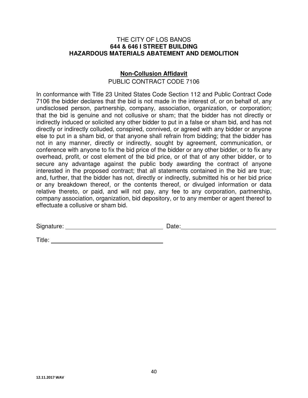## **Non-Collusion Affidavit**

PUBLIC CONTRACT CODE 7106

In conformance with Title 23 United States Code Section 112 and Public Contract Code 7106 the bidder declares that the bid is not made in the interest of, or on behalf of, any undisclosed person, partnership, company, association, organization, or corporation; that the bid is genuine and not collusive or sham; that the bidder has not directly or indirectly induced or solicited any other bidder to put in a false or sham bid, and has not directly or indirectly colluded, conspired, connived, or agreed with any bidder or anyone else to put in a sham bid, or that anyone shall refrain from bidding; that the bidder has not in any manner, directly or indirectly, sought by agreement, communication, or conference with anyone to fix the bid price of the bidder or any other bidder, or to fix any overhead, profit, or cost element of the bid price, or of that of any other bidder, or to secure any advantage against the public body awarding the contract of anyone interested in the proposed contract; that all statements contained in the bid are true; and, further, that the bidder has not, directly or indirectly, submitted his or her bid price or any breakdown thereof, or the contents thereof, or divulged information or data relative thereto, or paid, and will not pay, any fee to any corporation, partnership, company association, organization, bid depository, or to any member or agent thereof to effectuate a collusive or sham bid.

Signature: <u>Constantine and Constantine and Constantine and Constantine and Constantine and Constantine and Constantine and Constantine and Constantine and Constantine and Constantine and Constantine and Constantine and Co</u>

Title: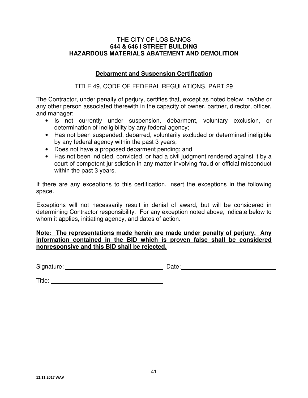#### **Debarment and Suspension Certification**

## TITLE 49, CODE OF FEDERAL REGULATIONS, PART 29

The Contractor, under penalty of perjury, certifies that, except as noted below, he/she or any other person associated therewith in the capacity of owner, partner, director, officer, and manager:

- Is not currently under suspension, debarment, voluntary exclusion, or determination of ineligibility by any federal agency;
- Has not been suspended, debarred, voluntarily excluded or determined ineligible by any federal agency within the past 3 years;
- Does not have a proposed debarment pending; and
- Has not been indicted, convicted, or had a civil judgment rendered against it by a court of competent jurisdiction in any matter involving fraud or official misconduct within the past 3 years.

If there are any exceptions to this certification, insert the exceptions in the following space.

Exceptions will not necessarily result in denial of award, but will be considered in determining Contractor responsibility. For any exception noted above, indicate below to whom it applies, initiating agency, and dates of action.

#### **Note: The representations made herein are made under penalty of perjury. Any information contained in the BID which is proven false shall be considered nonresponsive and this BID shall be rejected.**

Signature: <u>Constantine Constantine Constantine Date:</u> Date:

Title: **The Community of the Community of the Community of the Community of the Community of the Community of the Community of the Community of the Community of the Community of the Community of the Community of the Commun**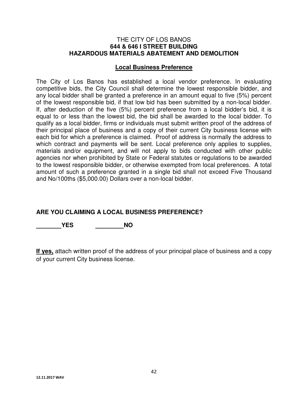#### **Local Business Preference**

The City of Los Banos has established a local vendor preference. In evaluating competitive bids, the City Council shall determine the lowest responsible bidder, and any local bidder shall be granted a preference in an amount equal to five (5%) percent of the lowest responsible bid, if that low bid has been submitted by a non-local bidder. If, after deduction of the five (5%) percent preference from a local bidder's bid, it is equal to or less than the lowest bid, the bid shall be awarded to the local bidder. To qualify as a local bidder, firms or individuals must submit written proof of the address of their principal place of business and a copy of their current City business license with each bid for which a preference is claimed. Proof of address is normally the address to which contract and payments will be sent. Local preference only applies to supplies, materials and/or equipment, and will not apply to bids conducted with other public agencies nor when prohibited by State or Federal statutes or regulations to be awarded to the lowest responsible bidder, or otherwise exempted from local preferences. A total amount of such a preference granted in a single bid shall not exceed Five Thousand and No/100ths (\$5,000.00) Dollars over a non-local bidder.

## **ARE YOU CLAIMING A LOCAL BUSINESS PREFERENCE?**

 **YES NO** 

**If yes,** attach written proof of the address of your principal place of business and a copy of your current City business license.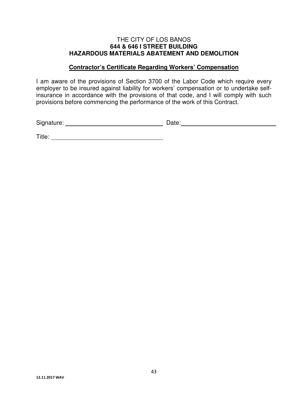#### **Contractor's Certificate Regarding Workers' Compensation**

I am aware of the provisions of Section 3700 of the Labor Code which require every employer to be insured against liability for workers' compensation or to undertake selfinsurance in accordance with the provisions of that code, and I will comply with such provisions before commencing the performance of the work of this Contract.

Signature: Date:

Title: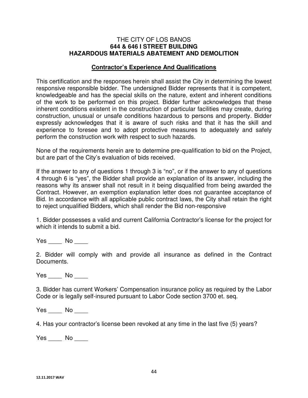#### **Contractor's Experience And Qualifications**

This certification and the responses herein shall assist the City in determining the lowest responsive responsible bidder. The undersigned Bidder represents that it is competent, knowledgeable and has the special skills on the nature, extent and inherent conditions of the work to be performed on this project. Bidder further acknowledges that these inherent conditions existent in the construction of particular facilities may create, during construction, unusual or unsafe conditions hazardous to persons and property. Bidder expressly acknowledges that it is aware of such risks and that it has the skill and experience to foresee and to adopt protective measures to adequately and safely perform the construction work with respect to such hazards.

None of the requirements herein are to determine pre-qualification to bid on the Project, but are part of the City's evaluation of bids received.

If the answer to any of questions 1 through 3 is "no", or if the answer to any of questions 4 through 6 is "yes", the Bidder shall provide an explanation of its answer, including the reasons why its answer shall not result in it being disqualified from being awarded the Contract. However, an exemption explanation letter does not guarantee acceptance of Bid. In accordance with all applicable public contract laws, the City shall retain the right to reject unqualified Bidders, which shall render the Bid non-responsive

1. Bidder possesses a valid and current California Contractor's license for the project for which it intends to submit a bid.

Yes No No

2. Bidder will comply with and provide all insurance as defined in the Contract Documents.

Yes No

3. Bidder has current Workers' Compensation insurance policy as required by the Labor Code or is legally self-insured pursuant to Labor Code section 3700 et. seq.

Yes No No

4. Has your contractor's license been revoked at any time in the last five (5) years?

Yes No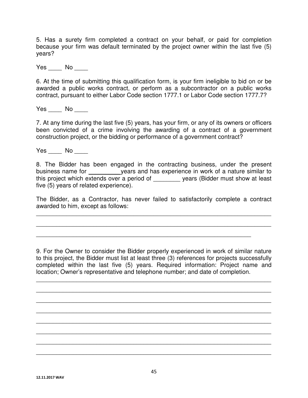5. Has a surety firm completed a contract on your behalf, or paid for completion because your firm was default terminated by the project owner within the last five (5) years?

Yes No No

6. At the time of submitting this qualification form, is your firm ineligible to bid on or be awarded a public works contract, or perform as a subcontractor on a public works contract, pursuant to either Labor Code section 1777.1 or Labor Code section 1777.7?

Yes No  $\blacksquare$ 

7. At any time during the last five (5) years, has your firm, or any of its owners or officers been convicted of a crime involving the awarding of a contract of a government construction project, or the bidding or performance of a government contract?

Yes No

8. The Bidder has been engaged in the contracting business, under the present business name for \_\_\_\_\_\_\_\_\_ years and has experience in work of a nature similar to this project which extends over a period of \_\_\_\_\_\_\_\_ years (Bidder must show at least five (5) years of related experience).

The Bidder, as a Contractor, has never failed to satisfactorily complete a contract awarded to him, except as follows:

\_\_\_\_\_\_\_\_\_\_\_\_\_\_\_\_\_\_\_\_\_\_\_\_\_\_\_\_\_\_\_\_\_\_\_\_\_\_\_\_\_\_\_\_\_\_\_\_\_\_\_\_\_\_\_\_\_\_\_\_\_\_\_\_\_\_\_\_\_\_

\_\_\_\_\_\_\_\_\_\_\_\_\_\_\_\_\_\_\_\_\_\_\_\_\_\_\_\_\_\_\_\_\_\_\_\_\_\_\_\_\_\_\_\_\_\_\_\_\_\_\_\_\_\_\_\_\_\_\_\_\_\_\_\_\_\_\_\_\_\_

\_\_\_\_\_\_\_\_\_\_\_\_\_\_\_\_\_\_\_\_\_\_\_\_\_\_\_\_\_\_\_\_\_\_\_\_\_\_\_\_\_\_\_\_\_\_\_\_\_\_\_\_\_\_\_\_\_\_\_\_\_\_\_\_

9. For the Owner to consider the Bidder properly experienced in work of similar nature to this project, the Bidder must list at least three (3) references for projects successfully completed within the last five (5) years. Required information: Project name and location; Owner's representative and telephone number; and date of completion.

\_\_\_\_\_\_\_\_\_\_\_\_\_\_\_\_\_\_\_\_\_\_\_\_\_\_\_\_\_\_\_\_\_\_\_\_\_\_\_\_\_\_\_\_\_\_\_\_\_\_\_\_\_\_\_\_\_\_\_\_\_\_\_\_\_\_\_\_\_\_

\_\_\_\_\_\_\_\_\_\_\_\_\_\_\_\_\_\_\_\_\_\_\_\_\_\_\_\_\_\_\_\_\_\_\_\_\_\_\_\_\_\_\_\_\_\_\_\_\_\_\_\_\_\_\_\_\_\_\_\_\_\_\_\_\_\_\_\_\_\_

\_\_\_\_\_\_\_\_\_\_\_\_\_\_\_\_\_\_\_\_\_\_\_\_\_\_\_\_\_\_\_\_\_\_\_\_\_\_\_\_\_\_\_\_\_\_\_\_\_\_\_\_\_\_\_\_\_\_\_\_\_\_\_\_\_\_\_\_\_\_

\_\_\_\_\_\_\_\_\_\_\_\_\_\_\_\_\_\_\_\_\_\_\_\_\_\_\_\_\_\_\_\_\_\_\_\_\_\_\_\_\_\_\_\_\_\_\_\_\_\_\_\_\_\_\_\_\_\_\_\_\_\_\_\_\_\_\_\_\_\_

\_\_\_\_\_\_\_\_\_\_\_\_\_\_\_\_\_\_\_\_\_\_\_\_\_\_\_\_\_\_\_\_\_\_\_\_\_\_\_\_\_\_\_\_\_\_\_\_\_\_\_\_\_\_\_\_\_\_\_\_\_\_\_\_\_\_\_\_\_\_

\_\_\_\_\_\_\_\_\_\_\_\_\_\_\_\_\_\_\_\_\_\_\_\_\_\_\_\_\_\_\_\_\_\_\_\_\_\_\_\_\_\_\_\_\_\_\_\_\_\_\_\_\_\_\_\_\_\_\_\_\_\_\_\_\_\_\_\_\_\_

\_\_\_\_\_\_\_\_\_\_\_\_\_\_\_\_\_\_\_\_\_\_\_\_\_\_\_\_\_\_\_\_\_\_\_\_\_\_\_\_\_\_\_\_\_\_\_\_\_\_\_\_\_\_\_\_\_\_\_\_\_\_\_\_\_\_\_\_\_\_

\_\_\_\_\_\_\_\_\_\_\_\_\_\_\_\_\_\_\_\_\_\_\_\_\_\_\_\_\_\_\_\_\_\_\_\_\_\_\_\_\_\_\_\_\_\_\_\_\_\_\_\_\_\_\_\_\_\_\_\_\_\_\_\_\_\_\_\_\_\_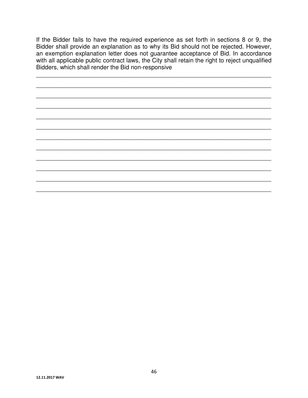If the Bidder fails to have the required experience as set forth in sections 8 or 9, the Bidder shall provide an explanation as to why its Bid should not be rejected. However, an exemption explanation letter does not guarantee acceptance of Bid. In accordance with all applicable public contract laws, the City shall retain the right to reject unqualified Bidders, which shall render the Bid non-responsive

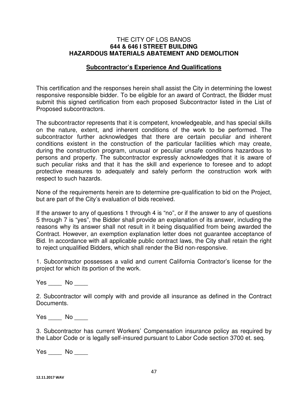#### **Subcontractor's Experience And Qualifications**

This certification and the responses herein shall assist the City in determining the lowest responsive responsible bidder. To be eligible for an award of Contract, the Bidder must submit this signed certification from each proposed Subcontractor listed in the List of Proposed subcontractors.

The subcontractor represents that it is competent, knowledgeable, and has special skills on the nature, extent, and inherent conditions of the work to be performed. The subcontractor further acknowledges that there are certain peculiar and inherent conditions existent in the construction of the particular facilities which may create, during the construction program, unusual or peculiar unsafe conditions hazardous to persons and property. The subcontractor expressly acknowledges that it is aware of such peculiar risks and that it has the skill and experience to foresee and to adopt protective measures to adequately and safely perform the construction work with respect to such hazards.

None of the requirements herein are to determine pre-qualification to bid on the Project, but are part of the City's evaluation of bids received.

If the answer to any of questions 1 through 4 is "no", or if the answer to any of questions 5 through 7 is "yes", the Bidder shall provide an explanation of its answer, including the reasons why its answer shall not result in it being disqualified from being awarded the Contract. However, an exemption explanation letter does not guarantee acceptance of Bid. In accordance with all applicable public contract laws, the City shall retain the right to reject unqualified Bidders, which shall render the Bid non-responsive.

1. Subcontractor possesses a valid and current California Contractor's license for the project for which its portion of the work.

Yes \_\_\_\_\_ No \_\_\_\_

2. Subcontractor will comply with and provide all insurance as defined in the Contract Documents.

Yes \_\_\_\_\_ No \_\_\_\_\_

3. Subcontractor has current Workers' Compensation insurance policy as required by the Labor Code or is legally self-insured pursuant to Labor Code section 3700 et. seq.

Yes \_\_\_\_\_ No \_\_\_\_\_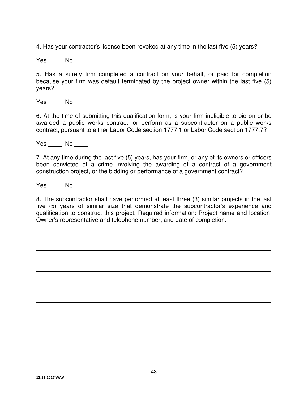4. Has your contractor's license been revoked at any time in the last five (5) years?

Yes No

5. Has a surety firm completed a contract on your behalf, or paid for completion because your firm was default terminated by the project owner within the last five (5) years?

Yes No  $\blacksquare$ 

6. At the time of submitting this qualification form, is your firm ineligible to bid on or be awarded a public works contract, or perform as a subcontractor on a public works contract, pursuant to either Labor Code section 1777.1 or Labor Code section 1777.7?

Yes No  $\blacksquare$ 

7. At any time during the last five (5) years, has your firm, or any of its owners or officers been convicted of a crime involving the awarding of a contract of a government construction project, or the bidding or performance of a government contract?

Yes No  $\sim$ 

8. The subcontractor shall have performed at least three (3) similar projects in the last five (5) years of similar size that demonstrate the subcontractor's experience and qualification to construct this project. Required information: Project name and location; Owner's representative and telephone number; and date of completion.

\_\_\_\_\_\_\_\_\_\_\_\_\_\_\_\_\_\_\_\_\_\_\_\_\_\_\_\_\_\_\_\_\_\_\_\_\_\_\_\_\_\_\_\_\_\_\_\_\_\_\_\_\_\_\_\_\_\_\_\_\_\_\_\_\_\_\_\_\_\_

\_\_\_\_\_\_\_\_\_\_\_\_\_\_\_\_\_\_\_\_\_\_\_\_\_\_\_\_\_\_\_\_\_\_\_\_\_\_\_\_\_\_\_\_\_\_\_\_\_\_\_\_\_\_\_\_\_\_\_\_\_\_\_\_\_\_\_\_\_\_

\_\_\_\_\_\_\_\_\_\_\_\_\_\_\_\_\_\_\_\_\_\_\_\_\_\_\_\_\_\_\_\_\_\_\_\_\_\_\_\_\_\_\_\_\_\_\_\_\_\_\_\_\_\_\_\_\_\_\_\_\_\_\_\_\_\_\_\_\_\_

\_\_\_\_\_\_\_\_\_\_\_\_\_\_\_\_\_\_\_\_\_\_\_\_\_\_\_\_\_\_\_\_\_\_\_\_\_\_\_\_\_\_\_\_\_\_\_\_\_\_\_\_\_\_\_\_\_\_\_\_\_\_\_\_\_\_\_\_\_\_

\_\_\_\_\_\_\_\_\_\_\_\_\_\_\_\_\_\_\_\_\_\_\_\_\_\_\_\_\_\_\_\_\_\_\_\_\_\_\_\_\_\_\_\_\_\_\_\_\_\_\_\_\_\_\_\_\_\_\_\_\_\_\_\_\_\_\_\_\_\_

\_\_\_\_\_\_\_\_\_\_\_\_\_\_\_\_\_\_\_\_\_\_\_\_\_\_\_\_\_\_\_\_\_\_\_\_\_\_\_\_\_\_\_\_\_\_\_\_\_\_\_\_\_\_\_\_\_\_\_\_\_\_\_\_\_\_\_\_\_\_

\_\_\_\_\_\_\_\_\_\_\_\_\_\_\_\_\_\_\_\_\_\_\_\_\_\_\_\_\_\_\_\_\_\_\_\_\_\_\_\_\_\_\_\_\_\_\_\_\_\_\_\_\_\_\_\_\_\_\_\_\_\_\_\_\_\_\_\_\_\_

\_\_\_\_\_\_\_\_\_\_\_\_\_\_\_\_\_\_\_\_\_\_\_\_\_\_\_\_\_\_\_\_\_\_\_\_\_\_\_\_\_\_\_\_\_\_\_\_\_\_\_\_\_\_\_\_\_\_\_\_\_\_\_\_\_\_\_\_\_\_

\_\_\_\_\_\_\_\_\_\_\_\_\_\_\_\_\_\_\_\_\_\_\_\_\_\_\_\_\_\_\_\_\_\_\_\_\_\_\_\_\_\_\_\_\_\_\_\_\_\_\_\_\_\_\_\_\_\_\_\_\_\_\_\_\_\_\_\_\_\_

\_\_\_\_\_\_\_\_\_\_\_\_\_\_\_\_\_\_\_\_\_\_\_\_\_\_\_\_\_\_\_\_\_\_\_\_\_\_\_\_\_\_\_\_\_\_\_\_\_\_\_\_\_\_\_\_\_\_\_\_\_\_\_\_\_\_\_\_\_\_

\_\_\_\_\_\_\_\_\_\_\_\_\_\_\_\_\_\_\_\_\_\_\_\_\_\_\_\_\_\_\_\_\_\_\_\_\_\_\_\_\_\_\_\_\_\_\_\_\_\_\_\_\_\_\_\_\_\_\_\_\_\_\_\_\_\_\_\_\_\_

\_\_\_\_\_\_\_\_\_\_\_\_\_\_\_\_\_\_\_\_\_\_\_\_\_\_\_\_\_\_\_\_\_\_\_\_\_\_\_\_\_\_\_\_\_\_\_\_\_\_\_\_\_\_\_\_\_\_\_\_\_\_\_\_\_\_\_\_\_\_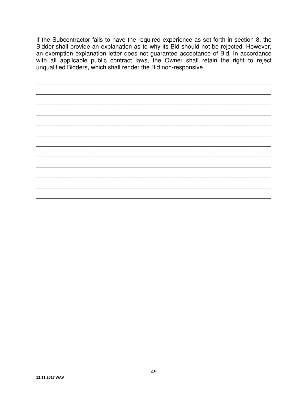If the Subcontractor fails to have the required experience as set forth in section 8, the Bidder shall provide an explanation as to why its Bid should not be rejected. However, an exemption explanation letter does not guarantee acceptance of Bid. In accordance<br>with all applicable public contract laws, the Owner shall retain the right to reject<br>unqualified Bidders, which shall render the Bid non-r

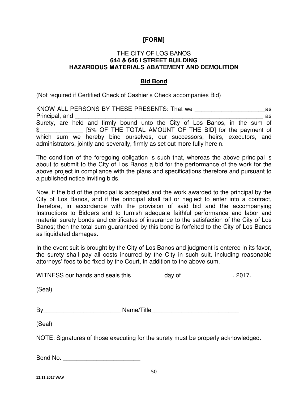#### THE CITY OF LOS BANOS **644 & 646 I STREET BUILDING HAZARDOUS MATERIALS ABATEMENT AND DEMOLITION**

#### **Bid Bond**

(Not required if Certified Check of Cashier's Check accompanies Bid)

| KNOW ALL PERSONS BY THESE PRESENTS: That we                                 | as |
|-----------------------------------------------------------------------------|----|
| Principal, and                                                              | as |
| Surety, are held and firmly bound unto the City of Los Banos, in the sum of |    |
| [5% OF THE TOTAL AMOUNT OF THE BID] for the payment of<br>$\mathbb{S}$      |    |
| which sum we hereby bind ourselves, our successors, heirs, executors, and   |    |
| administrators, jointly and severally, firmly as set out more fully herein. |    |

The condition of the foregoing obligation is such that, whereas the above principal is about to submit to the City of Los Banos a bid for the performance of the work for the above project in compliance with the plans and specifications therefore and pursuant to a published notice inviting bids.

Now, if the bid of the principal is accepted and the work awarded to the principal by the City of Los Banos, and if the principal shall fail or neglect to enter into a contract, therefore, in accordance with the provision of said bid and the accompanying Instructions to Bidders and to furnish adequate faithful performance and labor and material surety bonds and certificates of insurance to the satisfaction of the City of Los Banos; then the total sum guaranteed by this bond is forfeited to the City of Los Banos as liquidated damages.

In the event suit is brought by the City of Los Banos and judgment is entered in its favor, the surety shall pay all costs incurred by the City in such suit, including reasonable attorneys' fees to be fixed by the Court, in addition to the above sum.

WITNESS our hands and seals this \_\_\_\_\_\_\_\_\_ day of \_\_\_\_\_\_\_\_\_\_\_\_\_\_, 2017.

(Seal)

| By | Name/Title |  |
|----|------------|--|
|    |            |  |

(Seal)

NOTE: Signatures of those executing for the surety must be properly acknowledged.

Bond No.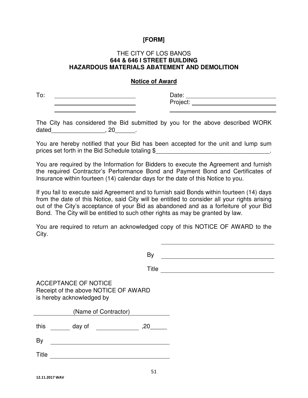#### THE CITY OF LOS BANOS **644 & 646 I STREET BUILDING HAZARDOUS MATERIALS ABATEMENT AND DEMOLITION**

#### **Notice of Award**

To: Date: Project:

The City has considered the Bid submitted by you for the above described WORK dated  $, 20$ 

You are hereby notified that your Bid has been accepted for the unit and lump sum prices set forth in the Bid Schedule totaling \$\_\_\_\_\_\_\_\_\_\_\_\_\_\_\_\_\_\_\_\_\_\_\_\_\_\_\_\_\_\_\_\_\_.

You are required by the Information for Bidders to execute the Agreement and furnish the required Contractor's Performance Bond and Payment Bond and Certificates of Insurance within fourteen (14) calendar days for the date of this Notice to you.

If you fail to execute said Agreement and to furnish said Bonds within fourteen (14) days from the date of this Notice, said City will be entitled to consider all your rights arising out of the City's acceptance of your Bid as abandoned and as a forfeiture of your Bid Bond. The City will be entitled to such other rights as may be granted by law.

You are required to return an acknowledged copy of this NOTICE OF AWARD to the City.

By

Title

ACCEPTANCE OF NOTICE Receipt of the above NOTICE OF AWARD is hereby acknowledged by

| (Name of Contractor) |        |     |
|----------------------|--------|-----|
| this                 | day of | ,20 |
| By                   |        |     |
| <b>Title</b>         |        |     |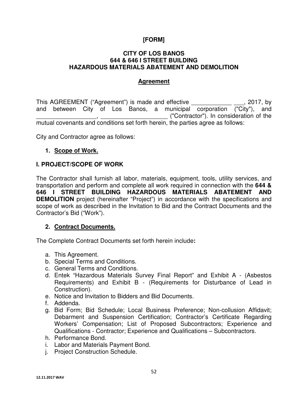#### **CITY OF LOS BANOS 644 & 646 I STREET BUILDING HAZARDOUS MATERIALS ABATEMENT AND DEMOLITION**

#### **Agreement**

This AGREEMENT ("Agreement") is made and effective  $\sim$ , 2017, by and between City of Los Banos, a municipal corporation ("City"), and \_\_\_\_\_\_\_\_\_\_\_\_\_\_\_\_\_\_, \_\_\_\_\_\_\_\_\_\_\_\_\_\_\_\_\_\_\_\_ ("Contractor"). In consideration of the mutual covenants and conditions set forth herein, the parties agree as follows:

City and Contractor agree as follows:

#### **1. Scope of Work.**

#### **I. PROJECT/SCOPE OF WORK**

The Contractor shall furnish all labor, materials, equipment, tools, utility services, and transportation and perform and complete all work required in connection with the **644 & 646 I STREET BUILDING HAZARDOUS MATERIALS ABATEMENT AND DEMOLITION** project (hereinafter "Project") in accordance with the specifications and scope of work as described in the Invitation to Bid and the Contract Documents and the Contractor's Bid ("Work").

#### **2. Contract Documents.**

The Complete Contract Documents set forth herein include**:** 

- a. This Agreement.
- b. Special Terms and Conditions.
- c. General Terms and Conditions.
- d. Entek "Hazardous Materials Survey Final Report" and Exhibit A (Asbestos Requirements) and Exhibit B - (Requirements for Disturbance of Lead in Construction).
- e. Notice and Invitation to Bidders and Bid Documents.
- f. Addenda.
- g. Bid Form; Bid Schedule; Local Business Preference; Non-collusion Affidavit; Debarment and Suspension Certification; Contractor's Certificate Regarding Workers' Compensation; List of Proposed Subcontractors; Experience and Qualifications - Contractor; Experience and Qualifications – Subcontractors.
- h. Performance Bond.
- i. Labor and Materials Payment Bond.
- j. Project Construction Schedule.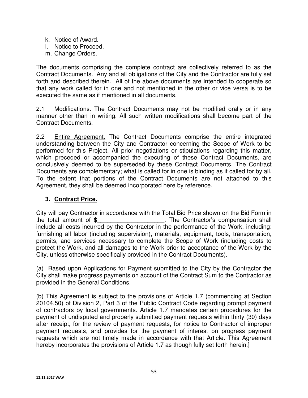- k. Notice of Award.
- l. Notice to Proceed.
- m. Change Orders.

The documents comprising the complete contract are collectively referred to as the Contract Documents. Any and all obligations of the City and the Contractor are fully set forth and described therein. All of the above documents are intended to cooperate so that any work called for in one and not mentioned in the other or vice versa is to be executed the same as if mentioned in all documents.

2.1 Modifications. The Contract Documents may not be modified orally or in any manner other than in writing. All such written modifications shall become part of the Contract Documents.

2.2 Entire Agreement. The Contract Documents comprise the entire integrated understanding between the City and Contractor concerning the Scope of Work to be performed for this Project. All prior negotiations or stipulations regarding this matter, which preceded or accompanied the executing of these Contract Documents, are conclusively deemed to be superseded by these Contract Documents. The Contract Documents are complementary; what is called for in one is binding as if called for by all. To the extent that portions of the Contract Documents are not attached to this Agreement, they shall be deemed incorporated here by reference.

## **3. Contract Price.**

City will pay Contractor in accordance with the Total Bid Price shown on the Bid Form in the total amount of **\$\_\_\_\_\_\_\_\_\_\_\_\_\_\_\_\_\_\_\_\_**. The Contractor's compensation shall include all costs incurred by the Contractor in the performance of the Work, including: furnishing all labor (including supervision), materials, equipment, tools, transportation, permits, and services necessary to complete the Scope of Work (including costs to protect the Work, and all damages to the Work prior to acceptance of the Work by the City, unless otherwise specifically provided in the Contract Documents).

(a) Based upon Applications for Payment submitted to the City by the Contractor the City shall make progress payments on account of the Contract Sum to the Contractor as provided in the General Conditions.

(b) This Agreement is subject to the provisions of Article 1.7 (commencing at Section 20104.50) of Division 2, Part 3 of the Public Contract Code regarding prompt payment of contractors by local governments. Article 1.7 mandates certain procedures for the payment of undisputed and properly submitted payment requests within thirty (30) days after receipt, for the review of payment requests, for notice to Contractor of improper payment requests, and provides for the payment of interest on progress payment requests which are not timely made in accordance with that Article. This Agreement hereby incorporates the provisions of Article 1.7 as though fully set forth herein.]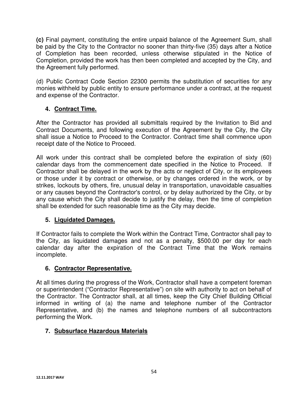**(c)** Final payment, constituting the entire unpaid balance of the Agreement Sum, shall be paid by the City to the Contractor no sooner than thirty-five (35) days after a Notice of Completion has been recorded, unless otherwise stipulated in the Notice of Completion, provided the work has then been completed and accepted by the City, and the Agreement fully performed.

(d) Public Contract Code Section 22300 permits the substitution of securities for any monies withheld by public entity to ensure performance under a contract, at the request and expense of the Contractor.

## **4. Contract Time.**

After the Contractor has provided all submittals required by the Invitation to Bid and Contract Documents, and following execution of the Agreement by the City, the City shall issue a Notice to Proceed to the Contractor. Contract time shall commence upon receipt date of the Notice to Proceed.

All work under this contract shall be completed before the expiration of sixty (60) calendar days from the commencement date specified in the Notice to Proceed. If Contractor shall be delayed in the work by the acts or neglect of City, or its employees or those under it by contract or otherwise, or by changes ordered in the work, or by strikes, lockouts by others, fire, unusual delay in transportation, unavoidable casualties or any causes beyond the Contractor's control, or by delay authorized by the City, or by any cause which the City shall decide to justify the delay, then the time of completion shall be extended for such reasonable time as the City may decide.

## **5. Liquidated Damages.**

If Contractor fails to complete the Work within the Contract Time, Contractor shall pay to the City, as liquidated damages and not as a penalty, \$500.00 per day for each calendar day after the expiration of the Contract Time that the Work remains incomplete.

## **6. Contractor Representative.**

At all times during the progress of the Work, Contractor shall have a competent foreman or superintendent ("Contractor Representative") on site with authority to act on behalf of the Contractor. The Contractor shall, at all times, keep the City Chief Building Official informed in writing of (a) the name and telephone number of the Contractor Representative, and (b) the names and telephone numbers of all subcontractors performing the Work.

## **7. Subsurface Hazardous Materials**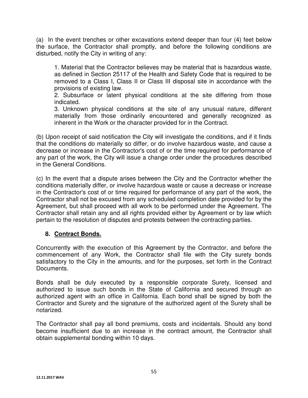(a) In the event trenches or other excavations extend deeper than four (4) feet below the surface, the Contractor shall promptly, and before the following conditions are disturbed, notify the City in writing of any:

1. Material that the Contractor believes may be material that is hazardous waste, as defined in Section 25117 of the Health and Safety Code that is required to be removed to a Class I, Class II or Class III disposal site in accordance with the provisions of existing law.

2. Subsurface or latent physical conditions at the site differing from those indicated.

3. Unknown physical conditions at the site of any unusual nature, different materially from those ordinarily encountered and generally recognized as inherent in the Work or the character provided for in the Contract.

(b) Upon receipt of said notification the City will investigate the conditions, and if it finds that the conditions do materially so differ, or do involve hazardous waste, and cause a decrease or increase in the Contractor's cost of or the time required for performance of any part of the work, the City will issue a change order under the procedures described in the General Conditions.

(c) In the event that a dispute arises between the City and the Contractor whether the conditions materially differ, or involve hazardous waste or cause a decrease or increase in the Contractor's cost of or time required for performance of any part of the work, the Contractor shall not be excused from any scheduled completion date provided for by the Agreement, but shall proceed with all work to be performed under the Agreement. The Contractor shall retain any and all rights provided either by Agreement or by law which pertain to the resolution of disputes and protests between the contracting parties.

## **8. Contract Bonds.**

Concurrently with the execution of this Agreement by the Contractor, and before the commencement of any Work, the Contractor shall file with the City surety bonds satisfactory to the City in the amounts, and for the purposes, set forth in the Contract Documents.

Bonds shall be duly executed by a responsible corporate Surety, licensed and authorized to issue such bonds in the State of California and secured through an authorized agent with an office in California. Each bond shall be signed by both the Contractor and Surety and the signature of the authorized agent of the Surety shall be notarized.

The Contractor shall pay all bond premiums, costs and incidentals. Should any bond become insufficient due to an increase in the contract amount, the Contractor shall obtain supplemental bonding within 10 days.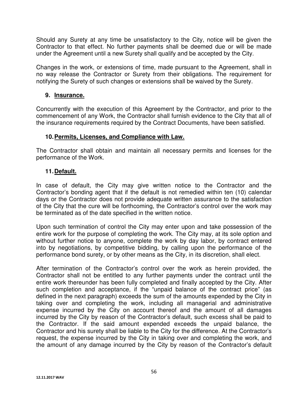Should any Surety at any time be unsatisfactory to the City, notice will be given the Contractor to that effect. No further payments shall be deemed due or will be made under the Agreement until a new Surety shall qualify and be accepted by the City.

Changes in the work, or extensions of time, made pursuant to the Agreement, shall in no way release the Contractor or Surety from their obligations. The requirement for notifying the Surety of such changes or extensions shall be waived by the Surety.

## **9. Insurance.**

Concurrently with the execution of this Agreement by the Contractor, and prior to the commencement of any Work, the Contractor shall furnish evidence to the City that all of the insurance requirements required by the Contract Documents, have been satisfied.

## **10. Permits, Licenses, and Compliance with Law.**

The Contractor shall obtain and maintain all necessary permits and licenses for the performance of the Work.

## **11. Default.**

In case of default, the City may give written notice to the Contractor and the Contractor's bonding agent that if the default is not remedied within ten (10) calendar days or the Contractor does not provide adequate written assurance to the satisfaction of the City that the cure will be forthcoming, the Contractor's control over the work may be terminated as of the date specified in the written notice.

Upon such termination of control the City may enter upon and take possession of the entire work for the purpose of completing the work. The City may, at its sole option and without further notice to anyone, complete the work by day labor, by contract entered into by negotiations, by competitive bidding, by calling upon the performance of the performance bond surety, or by other means as the City, in its discretion, shall elect.

After termination of the Contractor's control over the work as herein provided, the Contractor shall not be entitled to any further payments under the contract until the entire work thereunder has been fully completed and finally accepted by the City. After such completion and acceptance, if the "unpaid balance of the contract price" (as defined in the next paragraph) exceeds the sum of the amounts expended by the City in taking over and completing the work, including all managerial and administrative expense incurred by the City on account thereof and the amount of all damages incurred by the City by reason of the Contractor's default, such excess shall be paid to the Contractor. If the said amount expended exceeds the unpaid balance, the Contractor and his surety shall be liable to the City for the difference. At the Contractor's request, the expense incurred by the City in taking over and completing the work, and the amount of any damage incurred by the City by reason of the Contractor's default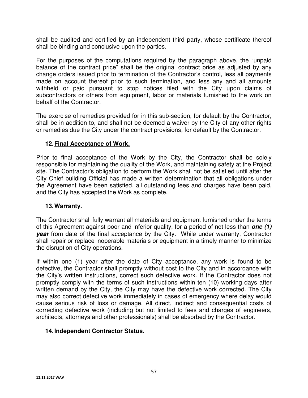shall be audited and certified by an independent third party, whose certificate thereof shall be binding and conclusive upon the parties.

For the purposes of the computations required by the paragraph above, the "unpaid balance of the contract price" shall be the original contract price as adjusted by any change orders issued prior to termination of the Contractor's control, less all payments made on account thereof prior to such termination, and less any and all amounts withheld or paid pursuant to stop notices filed with the City upon claims of subcontractors or others from equipment, labor or materials furnished to the work on behalf of the Contractor.

The exercise of remedies provided for in this sub-section, for default by the Contractor, shall be in addition to, and shall not be deemed a waiver by the City of any other rights or remedies due the City under the contract provisions, for default by the Contractor.

## **12. Final Acceptance of Work.**

Prior to final acceptance of the Work by the City, the Contractor shall be solely responsible for maintaining the quality of the Work, and maintaining safety at the Project site. The Contractor's obligation to perform the Work shall not be satisfied until after the City Chief building Official has made a written determination that all obligations under the Agreement have been satisfied, all outstanding fees and charges have been paid, and the City has accepted the Work as complete.

#### **13. Warranty.**

The Contractor shall fully warrant all materials and equipment furnished under the terms of this Agreement against poor and inferior quality, for a period of not less than **one (1) year** from date of the final acceptance by the City. While under warranty, Contractor shall repair or replace inoperable materials or equipment in a timely manner to minimize the disruption of City operations.

If within one (1) year after the date of City acceptance, any work is found to be defective, the Contractor shall promptly without cost to the City and in accordance with the City's written instructions, correct such defective work. If the Contractor does not promptly comply with the terms of such instructions within ten (10) working days after written demand by the City, the City may have the defective work corrected. The City may also correct defective work immediately in cases of emergency where delay would cause serious risk of loss or damage. All direct, indirect and consequential costs of correcting defective work (including but not limited to fees and charges of engineers, architects, attorneys and other professionals) shall be absorbed by the Contractor.

## **14. Independent Contractor Status.**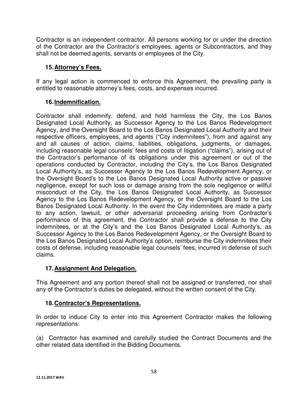Contractor is an independent contractor. All persons working for or under the direction of the Contractor are the Contractor's employees, agents or Subcontractors, and they shall not be deemed agents, servants or employees of the City.

## **15. Attorney's Fees.**

If any legal action is commenced to enforce this Agreement, the prevailing party is entitled to reasonable attorney's fees, costs, and expenses incurred.

## **16. Indemnification.**

Contractor shall indemnify, defend, and hold harmless the City, the Los Banos Designated Local Authority, as Successor Agency to the Los Banos Redevelopment Agency, and the Oversight Board to the Los Banos Designated Local Authority and their respective officers, employees, and agents ("City indemnitees"), from and against any and all causes of action, claims, liabilities, obligations, judgments, or damages, including reasonable legal counsels' fees and costs of litigation ("claims"), arising out of the Contractor's performance of its obligations under this agreement or out of the operations conducted by Contractor, including the City's, the Los Banos Designated Local Authority's, as Successor Agency to the Los Banos Redevelopment Agency, or the Oversight Board's to the Los Banos Designated Local Authority active or passive negligence, except for such loss or damage arising from the sole negligence or willful misconduct of the City, the Los Banos Designated Local Authority, as Successor Agency to the Los Banos Redevelopment Agency, or the Oversight Board to the Los Banos Designated Local Authority. In the event the City indemnitees are made a party to any action, lawsuit, or other adversarial proceeding arising from Contractor's performance of this agreement, the Contractor shall provide a defense to the City indemnitees, or at the City's and the Los Banos Designated Local Authority's, as Successor Agency to the Los Banos Redevelopment Agency, or the Oversight Board to the Los Banos Designated Local Authority's option, reimburse the City indemnitees their costs of defense, including reasonable legal counsels' fees, incurred in defense of such claims.

## **17. Assignment And Delegation.**

This Agreement and any portion thereof shall not be assigned or transferred, nor shall any of the Contractor's duties be delegated, without the written consent of the City.

## **18. Contractor's Representations.**

In order to induce City to enter into this Agreement Contractor makes the following representations:

(a) Contractor has examined and carefully studied the Contract Documents and the other related data identified in the Bidding Documents.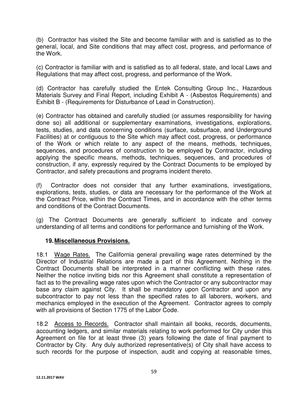(b) Contractor has visited the Site and become familiar with and is satisfied as to the general, local, and Site conditions that may affect cost, progress, and performance of the Work.

(c) Contractor is familiar with and is satisfied as to all federal, state, and local Laws and Regulations that may affect cost, progress, and performance of the Work.

(d) Contractor has carefully studied the Entek Consulting Group Inc., Hazardous Materials Survey and Final Report, including Exhibit A - (Asbestos Requirements) and Exhibit B - (Requirements for Disturbance of Lead in Construction).

(e) Contractor has obtained and carefully studied (or assumes responsibility for having done so) all additional or supplementary examinations, investigations, explorations, tests, studies, and data concerning conditions (surface, subsurface, and Underground Facilities) at or contiguous to the Site which may affect cost, progress, or performance of the Work or which relate to any aspect of the means, methods, techniques, sequences, and procedures of construction to be employed by Contractor, including applying the specific means, methods, techniques, sequences, and procedures of construction, if any, expressly required by the Contract Documents to be employed by Contractor, and safety precautions and programs incident thereto.

(f) Contractor does not consider that any further examinations, investigations, explorations, tests, studies, or data are necessary for the performance of the Work at the Contract Price, within the Contract Times, and in accordance with the other terms and conditions of the Contract Documents.

(g) The Contract Documents are generally sufficient to indicate and convey understanding of all terms and conditions for performance and furnishing of the Work.

## **19. Miscellaneous Provisions.**

18.1 Wage Rates.The California general prevailing wage rates determined by the Director of Industrial Relations are made a part of this Agreement. Nothing in the Contract Documents shall be interpreted in a manner conflicting with these rates. Neither the notice inviting bids nor this Agreement shall constitute a representation of fact as to the prevailing wage rates upon which the Contractor or any subcontractor may base any claim against City. It shall be mandatory upon Contractor and upon any subcontractor to pay not less than the specified rates to all laborers, workers, and mechanics employed in the execution of the Agreement. Contractor agrees to comply with all provisions of Section 1775 of the Labor Code.

18.2 Access to Records. Contractor shall maintain all books, records, documents, accounting ledgers, and similar materials relating to work performed for City under this Agreement on file for at least three (3) years following the date of final payment to Contractor by City. Any duly authorized representative(s) of City shall have access to such records for the purpose of inspection, audit and copying at reasonable times,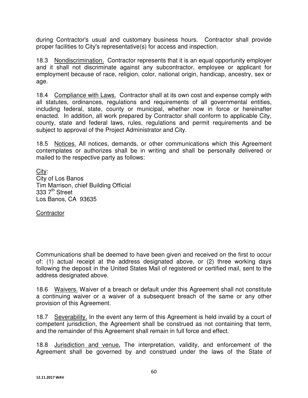during Contractor's usual and customary business hours. Contractor shall provide proper facilities to City's representative(s) for access and inspection.

18.3 Nondiscrimination. Contractor represents that it is an equal opportunity employer and it shall not discriminate against any subcontractor, employee or applicant for employment because of race, religion, color, national origin, handicap, ancestry, sex or age.

18.4 Compliance with Laws. Contractor shall at its own cost and expense comply with all statutes, ordinances, regulations and requirements of all governmental entities, including federal, state, county or municipal, whether now in force or hereinafter enacted. In addition, all work prepared by Contractor shall conform to applicable City, county, state and federal laws, rules, regulations and permit requirements and be subject to approval of the Project Administrator and City.

18.5 Notices. All notices, demands, or other communications which this Agreement contemplates or authorizes shall be in writing and shall be personally delivered or mailed to the respective party as follows:

City: City of Los Banos Tim Marrison, chief Building Official  $3337<sup>th</sup>$  Street Los Banos, CA 93635

**Contractor** 

Communications shall be deemed to have been given and received on the first to occur of: (1) actual receipt at the address designated above, or (2) three working days following the deposit in the United States Mail of registered or certified mail, sent to the address designated above.

18.6 Waivers. Waiver of a breach or default under this Agreement shall not constitute a continuing waiver or a waiver of a subsequent breach of the same or any other provision of this Agreement.

18.7 Severability. In the event any term of this Agreement is held invalid by a court of competent jurisdiction, the Agreement shall be construed as not containing that term, and the remainder of this Agreement shall remain in full force and effect.

18.8 Jurisdiction and venue**.** The interpretation, validity, and enforcement of the Agreement shall be governed by and construed under the laws of the State of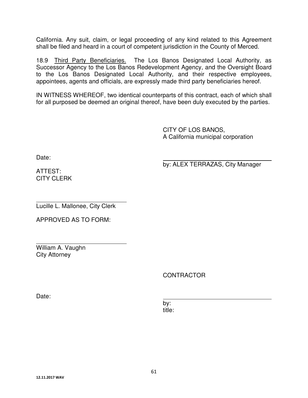California. Any suit, claim, or legal proceeding of any kind related to this Agreement shall be filed and heard in a court of competent jurisdiction in the County of Merced.

18.9 Third Party Beneficiaries. The Los Banos Designated Local Authority, as Successor Agency to the Los Banos Redevelopment Agency, and the Oversight Board to the Los Banos Designated Local Authority, and their respective employees, appointees, agents and officials, are expressly made third party beneficiaries hereof.

IN WITNESS WHEREOF, two identical counterparts of this contract, each of which shall for all purposed be deemed an original thereof, have been duly executed by the parties.

> CITY OF LOS BANOS, A California municipal corporation

Date:

by: ALEX TERRAZAS, City Manager

ATTEST: CITY CLERK

 $\overline{a}$ Lucille L. Mallonee, City Clerk

APPROVED AS TO FORM:

 $\overline{a}$ William A. Vaughn City Attorney

CONTRACTOR

Date:

by: title: the contract of the contract of the contract of the contract of the contract of the contract of the con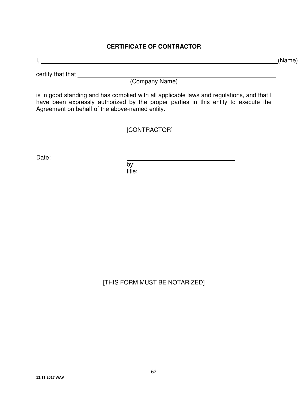## **CERTIFICATE OF CONTRACTOR**

I, (Name)

certify that that

(Company Name)

is in good standing and has complied with all applicable laws and regulations, and that I have been expressly authorized by the proper parties in this entity to execute the Agreement on behalf of the above-named entity.

[CONTRACTOR]

Date:

by: the contract of the box  $\mathsf{b}$ title: when the contract of the contract of the contract of the contract of the contract of the contract of th

[THIS FORM MUST BE NOTARIZED]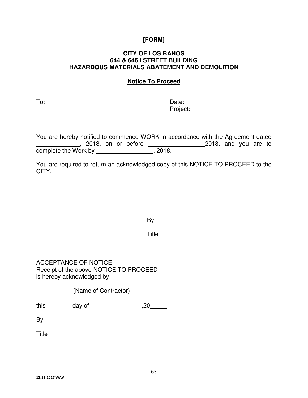#### **CITY OF LOS BANOS 644 & 646 I STREET BUILDING HAZARDOUS MATERIALS ABATEMENT AND DEMOLITION**

## **Notice To Proceed**

To: Date:

**Project:** 

You are hereby notified to commence WORK in accordance with the Agreement dated \_\_\_\_\_\_\_\_\_\_\_\_\_, 2018, on or before \_\_\_\_\_\_\_\_\_\_\_\_\_\_\_\_\_2018, and you are to complete the Work by \_\_\_\_\_\_\_\_\_\_\_\_\_\_\_\_\_, 2018.

You are required to return an acknowledged copy of this NOTICE TO PROCEED to the CITY.

By the contract of the contract of the contract of the contract of the contract of the contract of the contract of the contract of the contract of the contract of the contract of the contract of the contract of the contrac

Title

ACCEPTANCE OF NOTICE Receipt of the above NOTICE TO PROCEED is hereby acknowledged by

(Name of Contractor) this day of ,20\_\_\_\_\_\_

By the contract of the contract of the contract of the contract of the contract of the contract of the contract of the contract of the contract of the contract of the contract of the contract of the contract of the contrac

Title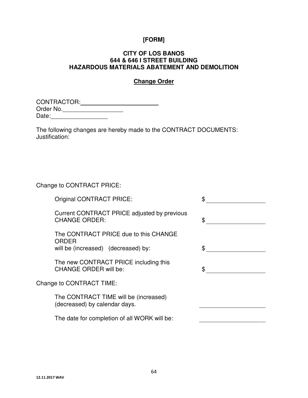#### **CITY OF LOS BANOS 644 & 646 I STREET BUILDING HAZARDOUS MATERIALS ABATEMENT AND DEMOLITION**

# **Change Order**

| CONTRACTOR: |  |
|-------------|--|
| Order No.   |  |
| Date:       |  |

The following changes are hereby made to the CONTRACT DOCUMENTS: Justification:

Change to CONTRACT PRICE:

| <b>Original CONTRACT PRICE:</b>                                                              |    |
|----------------------------------------------------------------------------------------------|----|
| Current CONTRACT PRICE adjusted by previous<br><b>CHANGE ORDER:</b>                          | \$ |
| The CONTRACT PRICE due to this CHANGE<br><b>ORDER</b><br>will be (increased) (decreased) by: | \$ |
| The new CONTRACT PRICE including this<br>CHANGE ORDER will be:                               | \$ |
| Change to CONTRACT TIME:                                                                     |    |
| The CONTRACT TIME will be (increased)<br>(decreased) by calendar days.                       |    |
| The date for completion of all WORK will be:                                                 |    |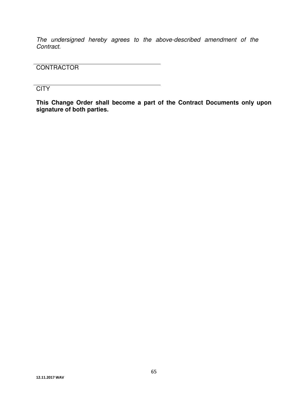The undersigned hereby agrees to the above-described amendment of the Contract.

**CONTRACTOR** 

**CITY** 

**This Change Order shall become a part of the Contract Documents only upon signature of both parties.**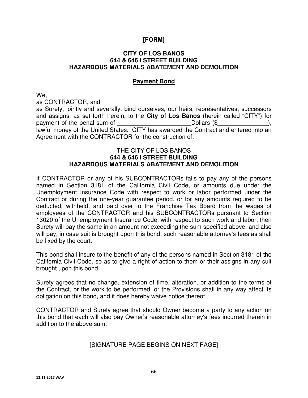#### **CITY OF LOS BANOS 644 & 646 I STREET BUILDING HAZARDOUS MATERIALS ABATEMENT AND DEMOLITION**

#### **Payment Bond**

We,

as CONTRACTOR, and

as Surety, jointly and severally, bind ourselves, our heirs, representatives, successors and assigns, as set forth herein, to the **City of Los Banos** (herein called "CITY") for payment of the penal sum of  $\Box$ lawful money of the United States. CITY has awarded the Contract and entered into an Agreement with the CONTRACTOR for the construction of:

#### THE CITY OF LOS BANOS **644 & 646 I STREET BUILDING HAZARDOUS MATERIALS ABATEMENT AND DEMOLITION**

If CONTRACTOR or any of his SUBCONTRACTORs fails to pay any of the persons named in Section 3181 of the California Civil Code, or amounts due under the Unemployment Insurance Code with respect to work or labor performed under the Contract or during the one-year guarantee period, or for any amounts required to be deducted, withheld, and paid over to the Franchise Tax Board from the wages of employees of the CONTRACTOR and his SUBCONTRACTORs pursuant to Section 13020 of the Unemployment Insurance Code, with respect to such work and labor, then Surety will pay the same in an amount not exceeding the sum specified above, and also will pay, in case suit is brought upon this bond, such reasonable attorney's fees as shall be fixed by the court.

This bond shall insure to the benefit of any of the persons named in Section 3181 of the California Civil Code, so as to give a right of action to them or their assigns in any suit brought upon this bond.

Surety agrees that no change, extension of time, alteration, or addition to the terms of the Contract, or the work to be performed, or the Provisions shall in any way affect its obligation on this bond, and it does hereby waive notice thereof.

CONTRACTOR and Surety agree that should Owner become a party to any action on this bond that each will also pay Owner's reasonable attorney's fees incurred therein in addition to the above sum.

## [SIGNATURE PAGE BEGINS ON NEXT PAGE]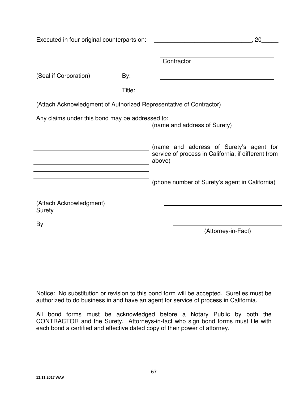Executed in four original counterparts on: \_\_\_\_\_\_\_\_\_\_\_\_\_\_\_\_\_\_\_\_\_\_\_\_\_\_\_\_\_, 20\_\_\_\_\_

|                                                                    |        | Contractor                                                                                               |
|--------------------------------------------------------------------|--------|----------------------------------------------------------------------------------------------------------|
| (Seal if Corporation)                                              | By:    |                                                                                                          |
|                                                                    | Title: |                                                                                                          |
| (Attach Acknowledgment of Authorized Representative of Contractor) |        |                                                                                                          |
| Any claims under this bond may be addressed to:                    |        | (name and address of Surety)                                                                             |
|                                                                    |        | (name and address of Surety's agent for<br>service of process in California, if different from<br>above) |
|                                                                    |        | (phone number of Surety's agent in California)                                                           |
| (Attach Acknowledgment)<br>Surety                                  |        |                                                                                                          |
| By                                                                 |        | (Attorney-in-Fact)                                                                                       |

Notice: No substitution or revision to this bond form will be accepted. Sureties must be authorized to do business in and have an agent for service of process in California.

All bond forms must be acknowledged before a Notary Public by both the CONTRACTOR and the Surety. Attorneys-in-fact who sign bond forms must file with each bond a certified and effective dated copy of their power of attorney.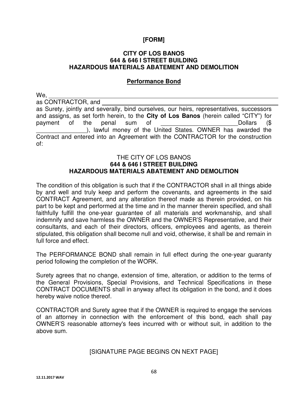#### **CITY OF LOS BANOS 644 & 646 I STREET BUILDING HAZARDOUS MATERIALS ABATEMENT AND DEMOLITION**

## **Performance Bond**

We,

as CONTRACTOR, and

as Surety, jointly and severally, bind ourselves, our heirs, representatives, successors and assigns, as set forth herein, to the **City of Los Banos** (herein called "CITY") for payment of the penal sum of **Example 20** Dollars (\$ ), lawful money of the United States. OWNER has awarded the Contract and entered into an Agreement with the CONTRACTOR for the construction of:

#### THE CITY OF LOS BANOS **644 & 646 I STREET BUILDING HAZARDOUS MATERIALS ABATEMENT AND DEMOLITION**

The condition of this obligation is such that if the CONTRACTOR shall in all things abide by and well and truly keep and perform the covenants, and agreements in the said CONTRACT Agreement, and any alteration thereof made as therein provided, on his part to be kept and performed at the time and in the manner therein specified, and shall faithfully fulfill the one-year guarantee of all materials and workmanship, and shall indemnify and save harmless the OWNER and the OWNER'S Representative, and their consultants, and each of their directors, officers, employees and agents, as therein stipulated, this obligation shall become null and void, otherwise, it shall be and remain in full force and effect.

The PERFORMANCE BOND shall remain in full effect during the one-year guaranty period following the completion of the WORK.

Surety agrees that no change, extension of time, alteration, or addition to the terms of the General Provisions, Special Provisions, and Technical Specifications in these CONTRACT DOCUMENTS shall in anyway affect its obligation in the bond, and it does hereby waive notice thereof.

CONTRACTOR and Surety agree that if the OWNER is required to engage the services of an attorney in connection with the enforcement of this bond, each shall pay OWNER'S reasonable attorney's fees incurred with or without suit, in addition to the above sum.

## [SIGNATURE PAGE BEGINS ON NEXT PAGE]